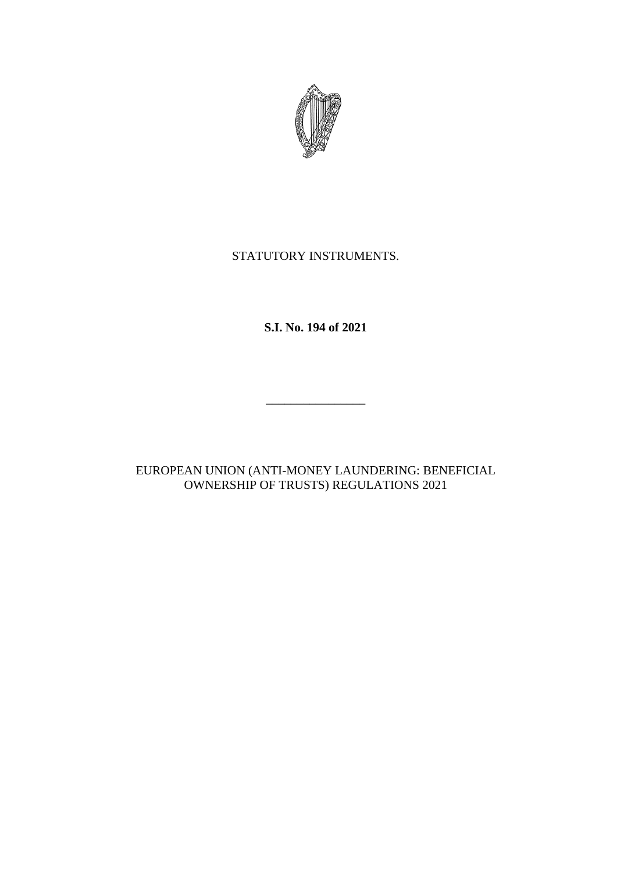

# STATUTORY INSTRUMENTS.

**S.I. No. 194 of 2021**

 $\frac{1}{\sqrt{2}}$  ,  $\frac{1}{\sqrt{2}}$  ,  $\frac{1}{\sqrt{2}}$  ,  $\frac{1}{\sqrt{2}}$  ,  $\frac{1}{\sqrt{2}}$  ,  $\frac{1}{\sqrt{2}}$  ,  $\frac{1}{\sqrt{2}}$  ,  $\frac{1}{\sqrt{2}}$  ,  $\frac{1}{\sqrt{2}}$  ,  $\frac{1}{\sqrt{2}}$  ,  $\frac{1}{\sqrt{2}}$  ,  $\frac{1}{\sqrt{2}}$  ,  $\frac{1}{\sqrt{2}}$  ,  $\frac{1}{\sqrt{2}}$  ,  $\frac{1}{\sqrt{2}}$ 

EUROPEAN UNION (ANTI-MONEY LAUNDERING: BENEFICIAL OWNERSHIP OF TRUSTS) REGULATIONS 2021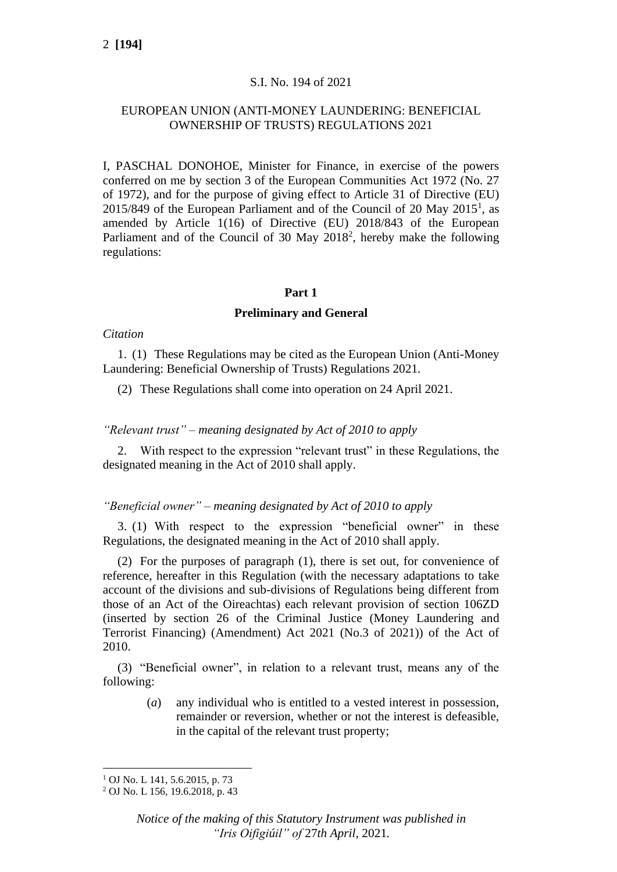## S.I. No. 194 of 2021

## EUROPEAN UNION (ANTI-MONEY LAUNDERING: BENEFICIAL OWNERSHIP OF TRUSTS) REGULATIONS 2021

I, PASCHAL DONOHOE, Minister for Finance, in exercise of the powers conferred on me by section 3 of the European Communities Act 1972 (No. 27 of 1972), and for the purpose of giving effect to Article 31 of Directive (EU)  $2015/849$  of the European Parliament and of the Council of 20 May  $2015<sup>1</sup>$ , as amended by Article 1(16) of Directive (EU) 2018/843 of the European Parliament and of the Council of 30 May 2018<sup>2</sup>, hereby make the following regulations:

### **Part 1**

### **Preliminary and General**

### *Citation*

1. (1) These Regulations may be cited as the European Union (Anti-Money Laundering: Beneficial Ownership of Trusts) Regulations 2021.

(2) These Regulations shall come into operation on 24 April 2021.

### *"Relevant trust" – meaning designated by Act of 2010 to apply*

2. With respect to the expression "relevant trust" in these Regulations, the designated meaning in the Act of 2010 shall apply.

### *"Beneficial owner" – meaning designated by Act of 2010 to apply*

3. (1) With respect to the expression "beneficial owner" in these Regulations, the designated meaning in the Act of 2010 shall apply.

(2) For the purposes of paragraph (1), there is set out, for convenience of reference, hereafter in this Regulation (with the necessary adaptations to take account of the divisions and sub-divisions of Regulations being different from those of an Act of the Oireachtas) each relevant provision of section 106ZD (inserted by section 26 of the Criminal Justice (Money Laundering and Terrorist Financing) (Amendment) Act 2021 (No.3 of 2021)) of the Act of 2010.

(3) "Beneficial owner", in relation to a relevant trust, means any of the following:

> (*a*) any individual who is entitled to a vested interest in possession, remainder or reversion, whether or not the interest is defeasible, in the capital of the relevant trust property;

 $1$  OJ No. L 141, 5.6.2015, p. 73

<sup>2</sup> OJ No. L 156, 19.6.2018, p. 43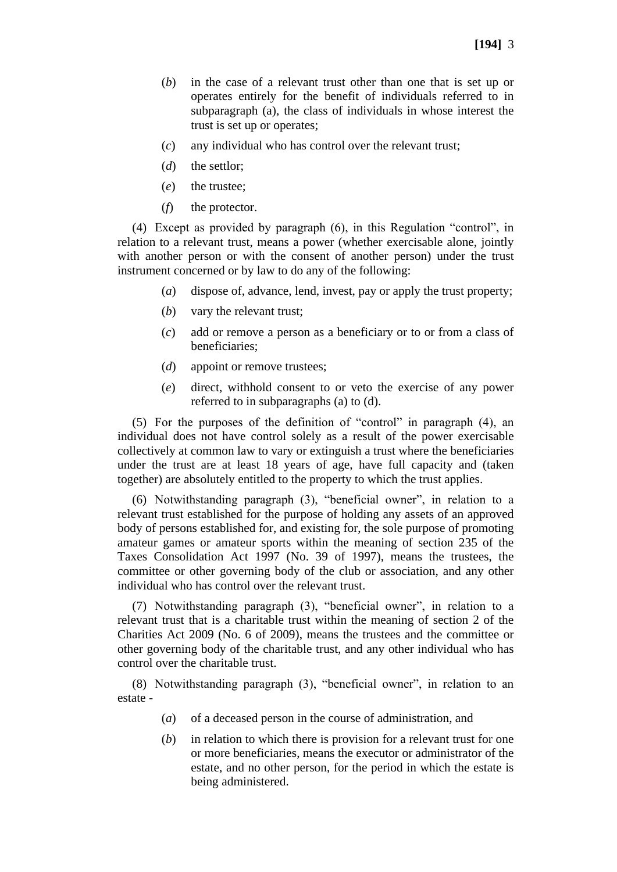- (*b*) in the case of a relevant trust other than one that is set up or operates entirely for the benefit of individuals referred to in subparagraph (a), the class of individuals in whose interest the trust is set up or operates;
- (*c*) any individual who has control over the relevant trust;
- (*d*) the settlor;
- (*e*) the trustee;
- (*f*) the protector.

(4) Except as provided by paragraph (6), in this Regulation "control", in relation to a relevant trust, means a power (whether exercisable alone, jointly with another person or with the consent of another person) under the trust instrument concerned or by law to do any of the following:

- (*a*) dispose of, advance, lend, invest, pay or apply the trust property;
- (*b*) vary the relevant trust;
- (*c*) add or remove a person as a beneficiary or to or from a class of beneficiaries;
- (*d*) appoint or remove trustees;
- (*e*) direct, withhold consent to or veto the exercise of any power referred to in subparagraphs (a) to (d).

(5) For the purposes of the definition of "control" in paragraph (4), an individual does not have control solely as a result of the power exercisable collectively at common law to vary or extinguish a trust where the beneficiaries under the trust are at least 18 years of age, have full capacity and (taken together) are absolutely entitled to the property to which the trust applies.

(6) Notwithstanding paragraph (3), "beneficial owner", in relation to a relevant trust established for the purpose of holding any assets of an approved body of persons established for, and existing for, the sole purpose of promoting amateur games or amateur sports within the meaning of section 235 of the Taxes Consolidation Act 1997 (No. 39 of 1997), means the trustees, the committee or other governing body of the club or association, and any other individual who has control over the relevant trust.

(7) Notwithstanding paragraph (3), "beneficial owner", in relation to a relevant trust that is a charitable trust within the meaning of section 2 of the Charities Act 2009 (No. 6 of 2009), means the trustees and the committee or other governing body of the charitable trust, and any other individual who has control over the charitable trust.

(8) Notwithstanding paragraph (3), "beneficial owner", in relation to an estate -

- (*a*) of a deceased person in the course of administration, and
- (*b*) in relation to which there is provision for a relevant trust for one or more beneficiaries, means the executor or administrator of the estate, and no other person, for the period in which the estate is being administered.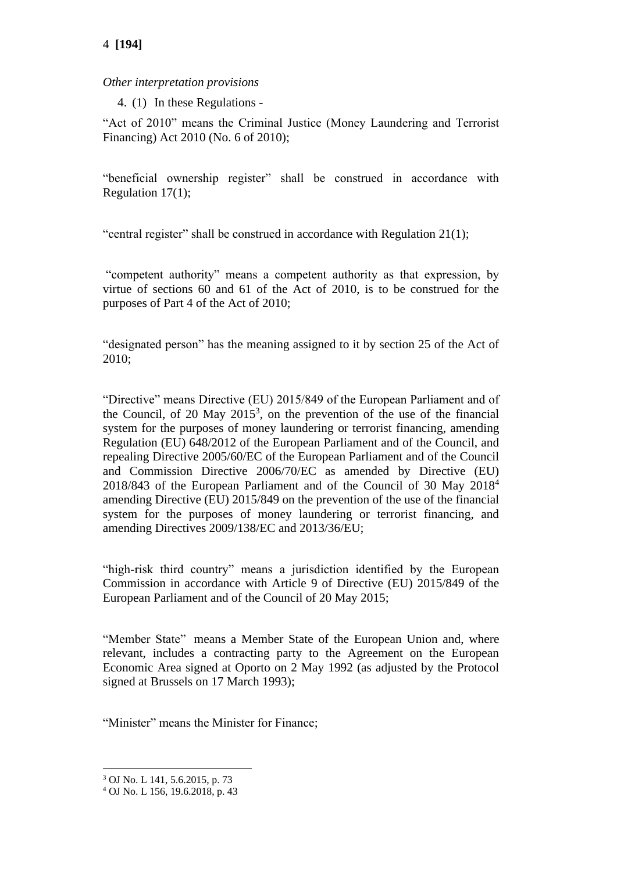# 4 **[194]**

## *Other interpretation provisions*

4. (1) In these Regulations -

"Act of 2010" means the Criminal Justice (Money Laundering and Terrorist Financing) Act 2010 (No. 6 of 2010);

"beneficial ownership register" shall be construed in accordance with Regulation 17(1);

"central register" shall be construed in accordance with Regulation 21(1);

"competent authority" means a competent authority as that expression, by virtue of sections 60 and 61 of the Act of 2010, is to be construed for the purposes of Part 4 of the Act of 2010;

"designated person" has the meaning assigned to it by section 25 of the Act of 2010;

"Directive" means Directive (EU) 2015/849 of the European Parliament and of the Council, of 20 May  $2015^3$ , on the prevention of the use of the financial system for the purposes of money laundering or terrorist financing, amending Regulation (EU) 648/2012 of the European Parliament and of the Council, and repealing Directive 2005/60/EC of the European Parliament and of the Council and Commission Directive 2006/70/EC as amended by Directive (EU) 2018/843 of the European Parliament and of the Council of 30 May 2018<sup>4</sup> amending Directive (EU) 2015/849 on the prevention of the use of the financial system for the purposes of money laundering or terrorist financing, and amending Directives 2009/138/EC and 2013/36/EU;

"high-risk third country" means a jurisdiction identified by the European Commission in accordance with Article 9 of Directive (EU) 2015/849 of the European Parliament and of the Council of 20 May 2015;

"Member State" means a Member State of the European Union and, where relevant, includes a contracting party to the Agreement on the European Economic Area signed at Oporto on 2 May 1992 (as adjusted by the Protocol signed at Brussels on 17 March 1993);

"Minister" means the Minister for Finance;

<sup>3</sup> OJ No. L 141, 5.6.2015, p. 73

<sup>4</sup> OJ No. L 156, 19.6.2018, p. 43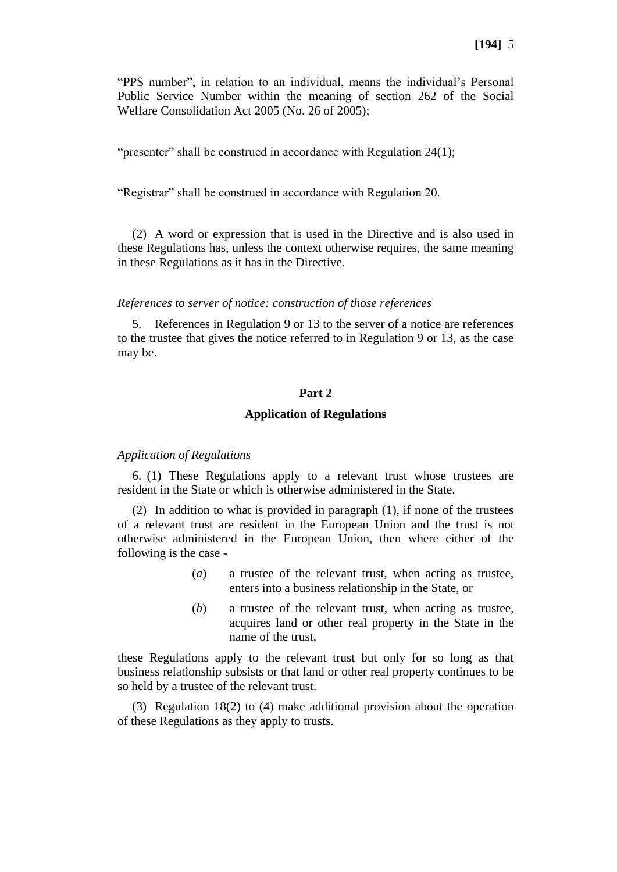"PPS number", in relation to an individual, means the individual's Personal Public Service Number within the meaning of section 262 of the Social Welfare Consolidation Act 2005 (No. 26 of 2005);

"presenter" shall be construed in accordance with Regulation 24(1);

"Registrar" shall be construed in accordance with Regulation 20.

(2) A word or expression that is used in the Directive and is also used in these Regulations has, unless the context otherwise requires, the same meaning in these Regulations as it has in the Directive.

#### *References to server of notice: construction of those references*

5. References in Regulation 9 or 13 to the server of a notice are references to the trustee that gives the notice referred to in Regulation 9 or 13, as the case may be.

#### **Part 2**

#### **Application of Regulations**

#### *Application of Regulations*

6. (1) These Regulations apply to a relevant trust whose trustees are resident in the State or which is otherwise administered in the State.

(2) In addition to what is provided in paragraph (1), if none of the trustees of a relevant trust are resident in the European Union and the trust is not otherwise administered in the European Union, then where either of the following is the case -

- (*a*) a trustee of the relevant trust, when acting as trustee, enters into a business relationship in the State, or
- (*b*) a trustee of the relevant trust, when acting as trustee, acquires land or other real property in the State in the name of the trust,

these Regulations apply to the relevant trust but only for so long as that business relationship subsists or that land or other real property continues to be so held by a trustee of the relevant trust.

(3) Regulation 18(2) to (4) make additional provision about the operation of these Regulations as they apply to trusts.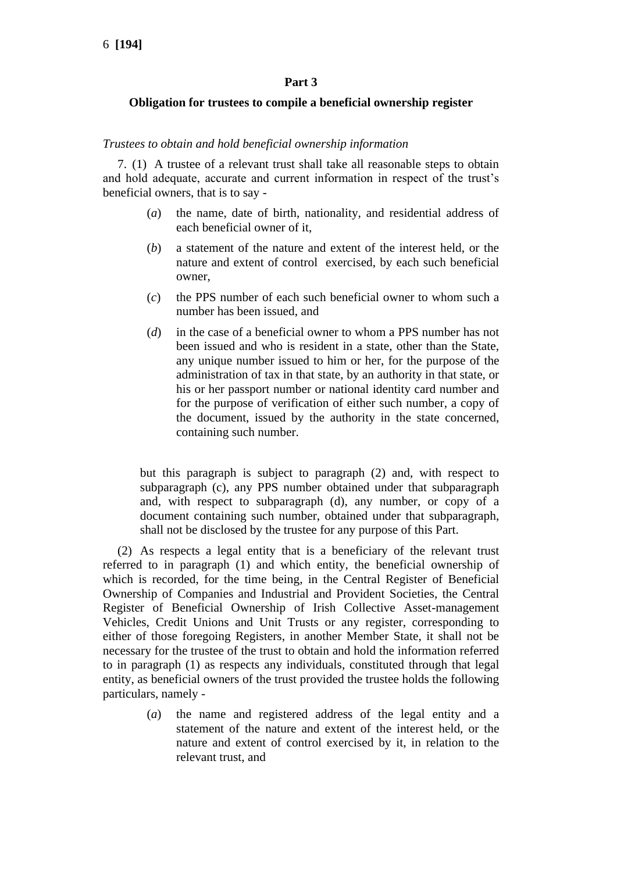### **Part 3**

### **Obligation for trustees to compile a beneficial ownership register**

#### *Trustees to obtain and hold beneficial ownership information*

7. (1) A trustee of a relevant trust shall take all reasonable steps to obtain and hold adequate, accurate and current information in respect of the trust's beneficial owners, that is to say -

- (*a*) the name, date of birth, nationality, and residential address of each beneficial owner of it,
- (*b*) a statement of the nature and extent of the interest held, or the nature and extent of control exercised, by each such beneficial owner,
- (*c*) the PPS number of each such beneficial owner to whom such a number has been issued, and
- (*d*) in the case of a beneficial owner to whom a PPS number has not been issued and who is resident in a state, other than the State, any unique number issued to him or her, for the purpose of the administration of tax in that state, by an authority in that state, or his or her passport number or national identity card number and for the purpose of verification of either such number, a copy of the document, issued by the authority in the state concerned, containing such number.

but this paragraph is subject to paragraph (2) and, with respect to subparagraph (c), any PPS number obtained under that subparagraph and, with respect to subparagraph (d), any number, or copy of a document containing such number, obtained under that subparagraph, shall not be disclosed by the trustee for any purpose of this Part.

(2) As respects a legal entity that is a beneficiary of the relevant trust referred to in paragraph (1) and which entity, the beneficial ownership of which is recorded, for the time being, in the Central Register of Beneficial Ownership of Companies and Industrial and Provident Societies, the Central Register of Beneficial Ownership of Irish Collective Asset-management Vehicles, Credit Unions and Unit Trusts or any register, corresponding to either of those foregoing Registers, in another Member State, it shall not be necessary for the trustee of the trust to obtain and hold the information referred to in paragraph (1) as respects any individuals, constituted through that legal entity, as beneficial owners of the trust provided the trustee holds the following particulars, namely -

> (*a*) the name and registered address of the legal entity and a statement of the nature and extent of the interest held, or the nature and extent of control exercised by it, in relation to the relevant trust, and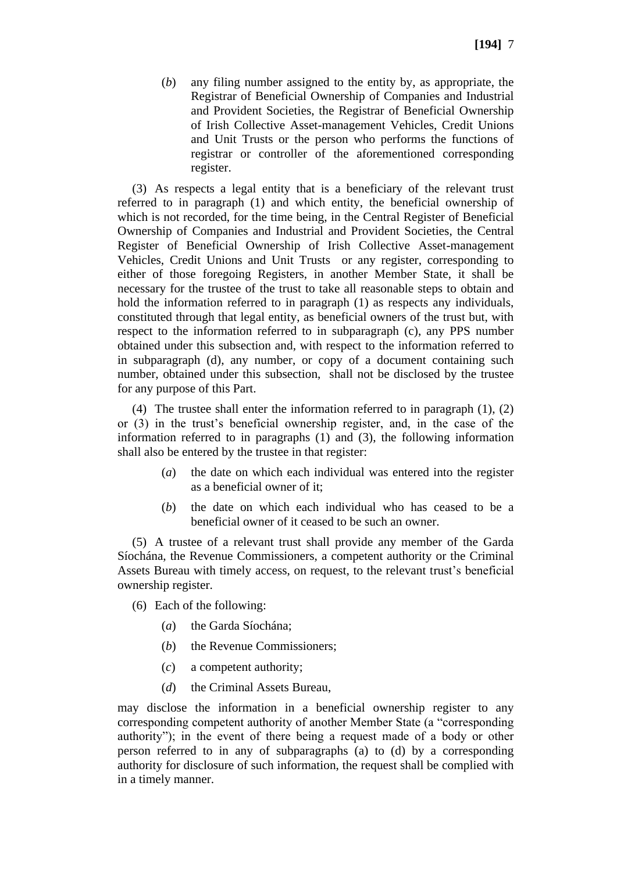(*b*) any filing number assigned to the entity by, as appropriate, the Registrar of Beneficial Ownership of Companies and Industrial and Provident Societies, the Registrar of Beneficial Ownership of Irish Collective Asset-management Vehicles, Credit Unions and Unit Trusts or the person who performs the functions of registrar or controller of the aforementioned corresponding register.

(3) As respects a legal entity that is a beneficiary of the relevant trust referred to in paragraph (1) and which entity, the beneficial ownership of which is not recorded, for the time being, in the Central Register of Beneficial Ownership of Companies and Industrial and Provident Societies, the Central Register of Beneficial Ownership of Irish Collective Asset-management Vehicles, Credit Unions and Unit Trusts or any register, corresponding to either of those foregoing Registers, in another Member State, it shall be necessary for the trustee of the trust to take all reasonable steps to obtain and hold the information referred to in paragraph (1) as respects any individuals, constituted through that legal entity, as beneficial owners of the trust but, with respect to the information referred to in subparagraph (c), any PPS number obtained under this subsection and, with respect to the information referred to in subparagraph (d), any number, or copy of a document containing such number, obtained under this subsection, shall not be disclosed by the trustee for any purpose of this Part.

(4) The trustee shall enter the information referred to in paragraph (1), (2) or (3) in the trust's beneficial ownership register, and, in the case of the information referred to in paragraphs (1) and (3), the following information shall also be entered by the trustee in that register:

- (*a*) the date on which each individual was entered into the register as a beneficial owner of it;
- (*b*) the date on which each individual who has ceased to be a beneficial owner of it ceased to be such an owner.

(5) A trustee of a relevant trust shall provide any member of the Garda Síochána, the Revenue Commissioners, a competent authority or the Criminal Assets Bureau with timely access, on request, to the relevant trust's beneficial ownership register.

- (6) Each of the following:
	- (*a*) the Garda Síochána;
	- (*b*) the Revenue Commissioners;
	- (*c*) a competent authority;
	- (*d*) the Criminal Assets Bureau,

may disclose the information in a beneficial ownership register to any corresponding competent authority of another Member State (a "corresponding authority"); in the event of there being a request made of a body or other person referred to in any of subparagraphs (a) to (d) by a corresponding authority for disclosure of such information, the request shall be complied with in a timely manner.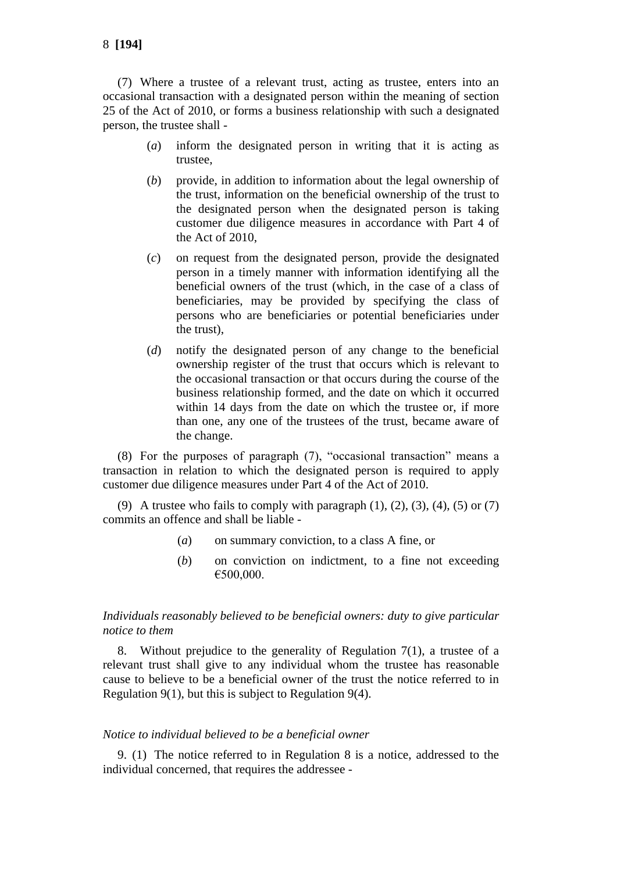(7) Where a trustee of a relevant trust, acting as trustee, enters into an occasional transaction with a designated person within the meaning of section 25 of the Act of 2010, or forms a business relationship with such a designated person, the trustee shall -

- (*a*) inform the designated person in writing that it is acting as trustee,
- (*b*) provide, in addition to information about the legal ownership of the trust, information on the beneficial ownership of the trust to the designated person when the designated person is taking customer due diligence measures in accordance with Part 4 of the Act of 2010,
- (*c*) on request from the designated person, provide the designated person in a timely manner with information identifying all the beneficial owners of the trust (which, in the case of a class of beneficiaries, may be provided by specifying the class of persons who are beneficiaries or potential beneficiaries under the trust),
- (*d*) notify the designated person of any change to the beneficial ownership register of the trust that occurs which is relevant to the occasional transaction or that occurs during the course of the business relationship formed, and the date on which it occurred within 14 days from the date on which the trustee or, if more than one, any one of the trustees of the trust, became aware of the change.

(8) For the purposes of paragraph (7), "occasional transaction" means a transaction in relation to which the designated person is required to apply customer due diligence measures under Part 4 of the Act of 2010.

(9) A trustee who fails to comply with paragraph  $(1)$ ,  $(2)$ ,  $(3)$ ,  $(4)$ ,  $(5)$  or  $(7)$ commits an offence and shall be liable -

- (*a*) on summary conviction, to a class A fine, or
- (*b*) on conviction on indictment, to a fine not exceeding €500,000.

## *Individuals reasonably believed to be beneficial owners: duty to give particular notice to them*

8. Without prejudice to the generality of Regulation  $7(1)$ , a trustee of a relevant trust shall give to any individual whom the trustee has reasonable cause to believe to be a beneficial owner of the trust the notice referred to in Regulation 9(1), but this is subject to Regulation 9(4).

### *Notice to individual believed to be a beneficial owner*

9. (1) The notice referred to in Regulation 8 is a notice, addressed to the individual concerned, that requires the addressee -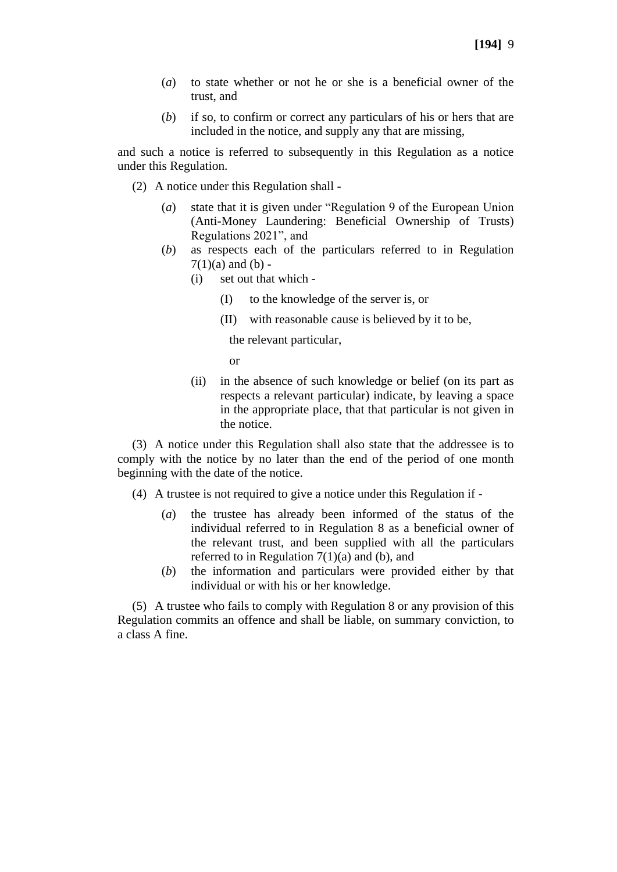- (*a*) to state whether or not he or she is a beneficial owner of the trust, and
- (*b*) if so, to confirm or correct any particulars of his or hers that are included in the notice, and supply any that are missing,

and such a notice is referred to subsequently in this Regulation as a notice under this Regulation.

- (2) A notice under this Regulation shall
	- (*a*) state that it is given under "Regulation 9 of the European Union (Anti-Money Laundering: Beneficial Ownership of Trusts) Regulations 2021", and
	- (*b*) as respects each of the particulars referred to in Regulation  $7(1)(a)$  and  $(b)$  -
		- (i) set out that which
			- (I) to the knowledge of the server is, or
			- (II) with reasonable cause is believed by it to be,

the relevant particular,

or

(ii) in the absence of such knowledge or belief (on its part as respects a relevant particular) indicate, by leaving a space in the appropriate place, that that particular is not given in the notice.

(3) A notice under this Regulation shall also state that the addressee is to comply with the notice by no later than the end of the period of one month beginning with the date of the notice.

- (4) A trustee is not required to give a notice under this Regulation if
	- (*a*) the trustee has already been informed of the status of the individual referred to in Regulation 8 as a beneficial owner of the relevant trust, and been supplied with all the particulars referred to in Regulation  $7(1)(a)$  and (b), and
	- (*b*) the information and particulars were provided either by that individual or with his or her knowledge.

(5) A trustee who fails to comply with Regulation 8 or any provision of this Regulation commits an offence and shall be liable, on summary conviction, to a class A fine.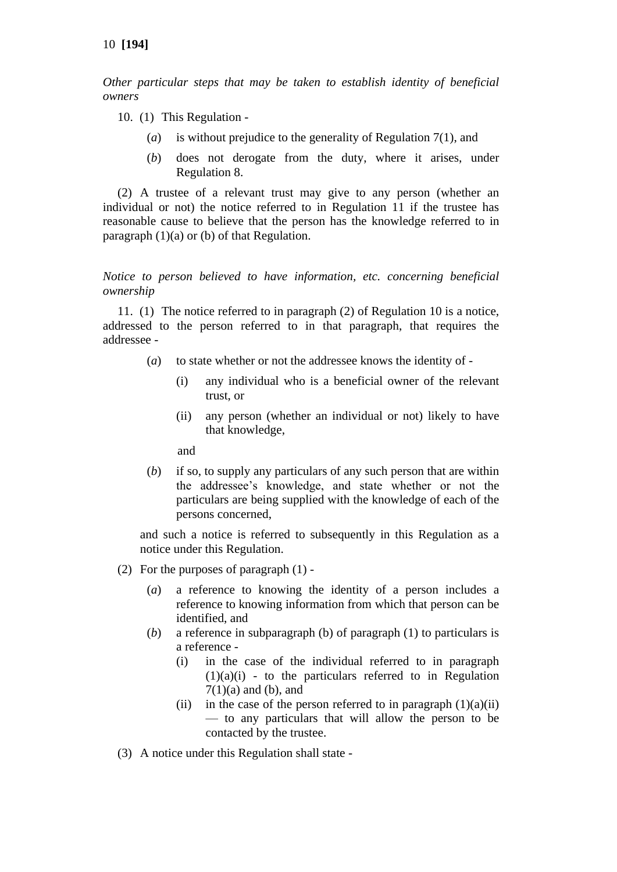*Other particular steps that may be taken to establish identity of beneficial owners*

- 10. (1) This Regulation
	- (*a*) is without prejudice to the generality of Regulation 7(1), and
	- (*b*) does not derogate from the duty, where it arises, under Regulation 8.

(2) A trustee of a relevant trust may give to any person (whether an individual or not) the notice referred to in Regulation 11 if the trustee has reasonable cause to believe that the person has the knowledge referred to in paragraph (1)(a) or (b) of that Regulation.

*Notice to person believed to have information, etc. concerning beneficial ownership*

11. (1) The notice referred to in paragraph (2) of Regulation 10 is a notice, addressed to the person referred to in that paragraph, that requires the addressee -

- (*a*) to state whether or not the addressee knows the identity of
	- (i) any individual who is a beneficial owner of the relevant trust, or
	- (ii) any person (whether an individual or not) likely to have that knowledge,

and

(*b*) if so, to supply any particulars of any such person that are within the addressee's knowledge, and state whether or not the particulars are being supplied with the knowledge of each of the persons concerned,

and such a notice is referred to subsequently in this Regulation as a notice under this Regulation.

- (2) For the purposes of paragraph (1)
	- (*a*) a reference to knowing the identity of a person includes a reference to knowing information from which that person can be identified, and
	- (*b*) a reference in subparagraph (b) of paragraph (1) to particulars is a reference -
		- (i) in the case of the individual referred to in paragraph  $(1)(a)(i)$  - to the particulars referred to in Regulation  $7(1)(a)$  and (b), and
		- (ii) in the case of the person referred to in paragraph  $(1)(a)(ii)$ — to any particulars that will allow the person to be contacted by the trustee.
- (3) A notice under this Regulation shall state -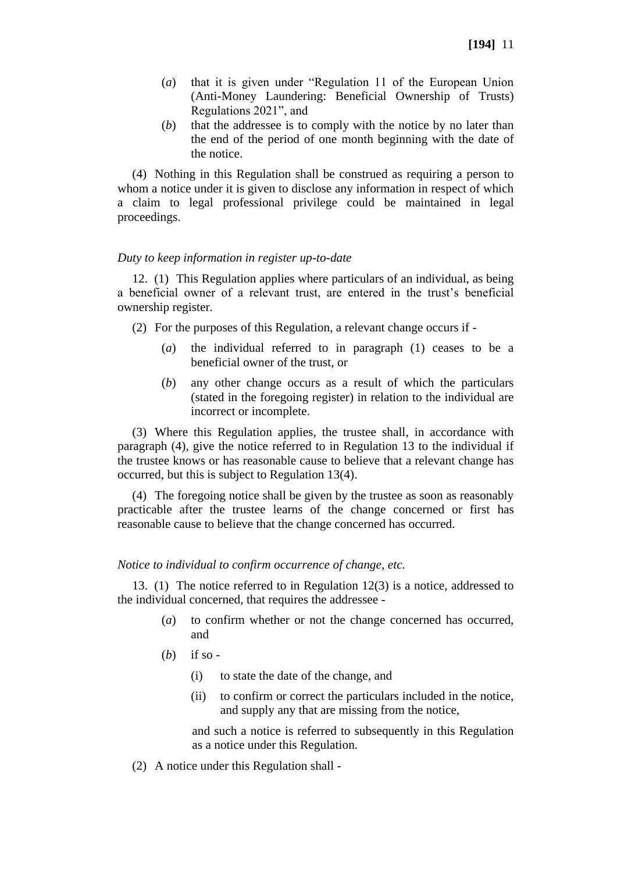- (*a*) that it is given under "Regulation 11 of the European Union (Anti-Money Laundering: Beneficial Ownership of Trusts) Regulations 2021", and
- (*b*) that the addressee is to comply with the notice by no later than the end of the period of one month beginning with the date of the notice.

(4) Nothing in this Regulation shall be construed as requiring a person to whom a notice under it is given to disclose any information in respect of which a claim to legal professional privilege could be maintained in legal proceedings.

### *Duty to keep information in register up-to-date*

12. (1) This Regulation applies where particulars of an individual, as being a beneficial owner of a relevant trust, are entered in the trust's beneficial ownership register.

(2) For the purposes of this Regulation, a relevant change occurs if -

- (*a*) the individual referred to in paragraph (1) ceases to be a beneficial owner of the trust, or
- (*b*) any other change occurs as a result of which the particulars (stated in the foregoing register) in relation to the individual are incorrect or incomplete.

(3) Where this Regulation applies, the trustee shall, in accordance with paragraph (4), give the notice referred to in Regulation 13 to the individual if the trustee knows or has reasonable cause to believe that a relevant change has occurred, but this is subject to Regulation 13(4).

(4) The foregoing notice shall be given by the trustee as soon as reasonably practicable after the trustee learns of the change concerned or first has reasonable cause to believe that the change concerned has occurred.

### *Notice to individual to confirm occurrence of change, etc.*

13. (1) The notice referred to in Regulation 12(3) is a notice, addressed to the individual concerned, that requires the addressee -

- (*a*) to confirm whether or not the change concerned has occurred, and
- (*b*) if so
	- (i) to state the date of the change, and
	- (ii) to confirm or correct the particulars included in the notice, and supply any that are missing from the notice,

and such a notice is referred to subsequently in this Regulation as a notice under this Regulation.

(2) A notice under this Regulation shall -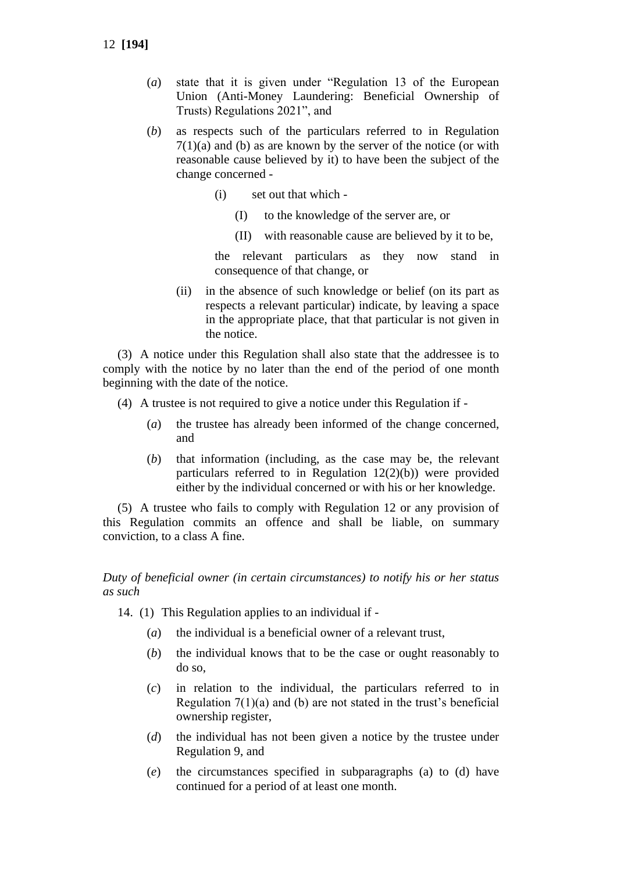12 **[194]**

- (*a*) state that it is given under "Regulation 13 of the European Union (Anti-Money Laundering: Beneficial Ownership of Trusts) Regulations 2021", and
- (*b*) as respects such of the particulars referred to in Regulation  $7(1)(a)$  and (b) as are known by the server of the notice (or with reasonable cause believed by it) to have been the subject of the change concerned -
	- (i) set out that which
		- (I) to the knowledge of the server are, or
		- (II) with reasonable cause are believed by it to be,

the relevant particulars as they now stand in consequence of that change, or

(ii) in the absence of such knowledge or belief (on its part as respects a relevant particular) indicate, by leaving a space in the appropriate place, that that particular is not given in the notice.

(3) A notice under this Regulation shall also state that the addressee is to comply with the notice by no later than the end of the period of one month beginning with the date of the notice.

- (4) A trustee is not required to give a notice under this Regulation if
	- (*a*) the trustee has already been informed of the change concerned, and
	- (*b*) that information (including, as the case may be, the relevant particulars referred to in Regulation 12(2)(b)) were provided either by the individual concerned or with his or her knowledge.

(5) A trustee who fails to comply with Regulation 12 or any provision of this Regulation commits an offence and shall be liable, on summary conviction, to a class A fine.

### *Duty of beneficial owner (in certain circumstances) to notify his or her status as such*

14. (1) This Regulation applies to an individual if -

- (*a*) the individual is a beneficial owner of a relevant trust,
- (*b*) the individual knows that to be the case or ought reasonably to do so,
- (*c*) in relation to the individual, the particulars referred to in Regulation 7(1)(a) and (b) are not stated in the trust's beneficial ownership register,
- (*d*) the individual has not been given a notice by the trustee under Regulation 9, and
- (*e*) the circumstances specified in subparagraphs (a) to (d) have continued for a period of at least one month.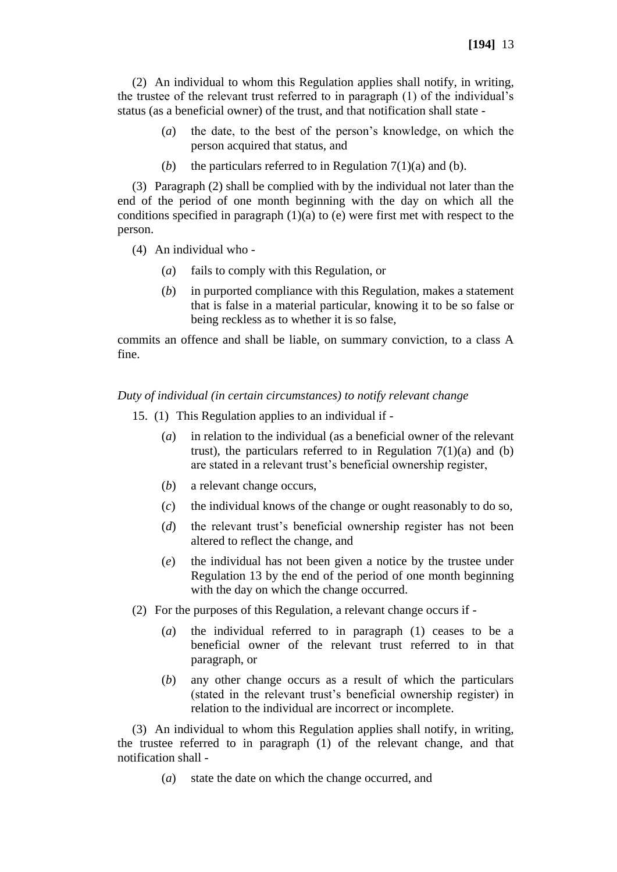(2) An individual to whom this Regulation applies shall notify, in writing, the trustee of the relevant trust referred to in paragraph (1) of the individual's status (as a beneficial owner) of the trust, and that notification shall state -

- (*a*) the date, to the best of the person's knowledge, on which the person acquired that status, and
- (*b*) the particulars referred to in Regulation  $7(1)(a)$  and (*b*).

(3) Paragraph (2) shall be complied with by the individual not later than the end of the period of one month beginning with the day on which all the conditions specified in paragraph  $(1)(a)$  to (e) were first met with respect to the person.

- (4) An individual who
	- (*a*) fails to comply with this Regulation, or
	- (*b*) in purported compliance with this Regulation, makes a statement that is false in a material particular, knowing it to be so false or being reckless as to whether it is so false,

commits an offence and shall be liable, on summary conviction, to a class A fine.

*Duty of individual (in certain circumstances) to notify relevant change*

- 15. (1) This Regulation applies to an individual if
	- (*a*) in relation to the individual (as a beneficial owner of the relevant trust), the particulars referred to in Regulation  $7(1)(a)$  and (b) are stated in a relevant trust's beneficial ownership register,
	- (*b*) a relevant change occurs,
	- (*c*) the individual knows of the change or ought reasonably to do so,
	- (*d*) the relevant trust's beneficial ownership register has not been altered to reflect the change, and
	- (*e*) the individual has not been given a notice by the trustee under Regulation 13 by the end of the period of one month beginning with the day on which the change occurred.
- (2) For the purposes of this Regulation, a relevant change occurs if
	- (*a*) the individual referred to in paragraph (1) ceases to be a beneficial owner of the relevant trust referred to in that paragraph, or
	- (*b*) any other change occurs as a result of which the particulars (stated in the relevant trust's beneficial ownership register) in relation to the individual are incorrect or incomplete.

(3) An individual to whom this Regulation applies shall notify, in writing, the trustee referred to in paragraph (1) of the relevant change, and that notification shall -

(*a*) state the date on which the change occurred, and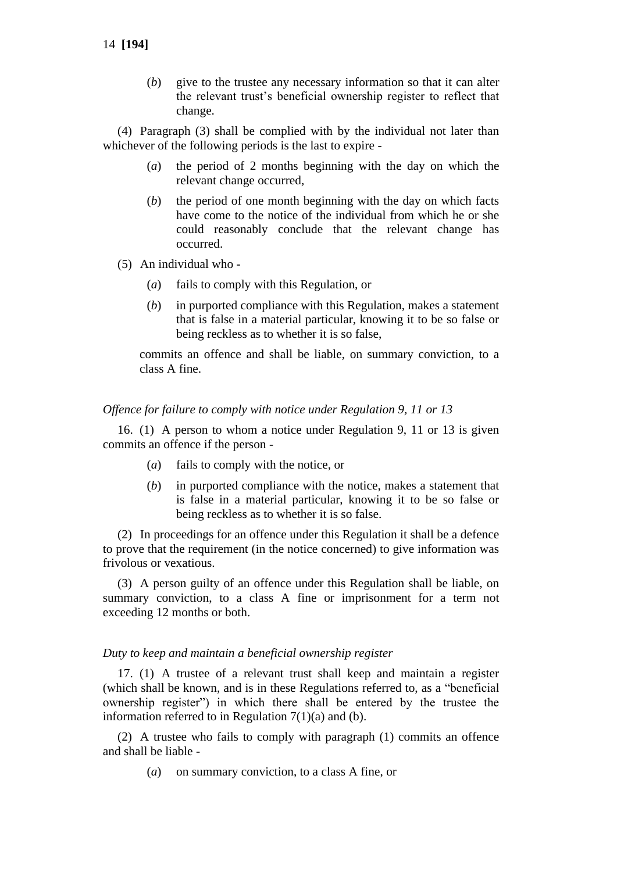(*b*) give to the trustee any necessary information so that it can alter the relevant trust's beneficial ownership register to reflect that change.

(4) Paragraph (3) shall be complied with by the individual not later than whichever of the following periods is the last to expire -

- (*a*) the period of 2 months beginning with the day on which the relevant change occurred,
- (*b*) the period of one month beginning with the day on which facts have come to the notice of the individual from which he or she could reasonably conclude that the relevant change has occurred.
- (5) An individual who
	- (*a*) fails to comply with this Regulation, or
	- (*b*) in purported compliance with this Regulation, makes a statement that is false in a material particular, knowing it to be so false or being reckless as to whether it is so false,

commits an offence and shall be liable, on summary conviction, to a class A fine.

#### *Offence for failure to comply with notice under Regulation 9, 11 or 13*

16. (1) A person to whom a notice under Regulation 9, 11 or 13 is given commits an offence if the person -

- (*a*) fails to comply with the notice, or
- (*b*) in purported compliance with the notice, makes a statement that is false in a material particular, knowing it to be so false or being reckless as to whether it is so false.

(2) In proceedings for an offence under this Regulation it shall be a defence to prove that the requirement (in the notice concerned) to give information was frivolous or vexatious.

(3) A person guilty of an offence under this Regulation shall be liable, on summary conviction, to a class A fine or imprisonment for a term not exceeding 12 months or both.

### *Duty to keep and maintain a beneficial ownership register*

17. (1) A trustee of a relevant trust shall keep and maintain a register (which shall be known, and is in these Regulations referred to, as a "beneficial ownership register") in which there shall be entered by the trustee the information referred to in Regulation  $7(1)(a)$  and (b).

(2) A trustee who fails to comply with paragraph (1) commits an offence and shall be liable -

(*a*) on summary conviction, to a class A fine, or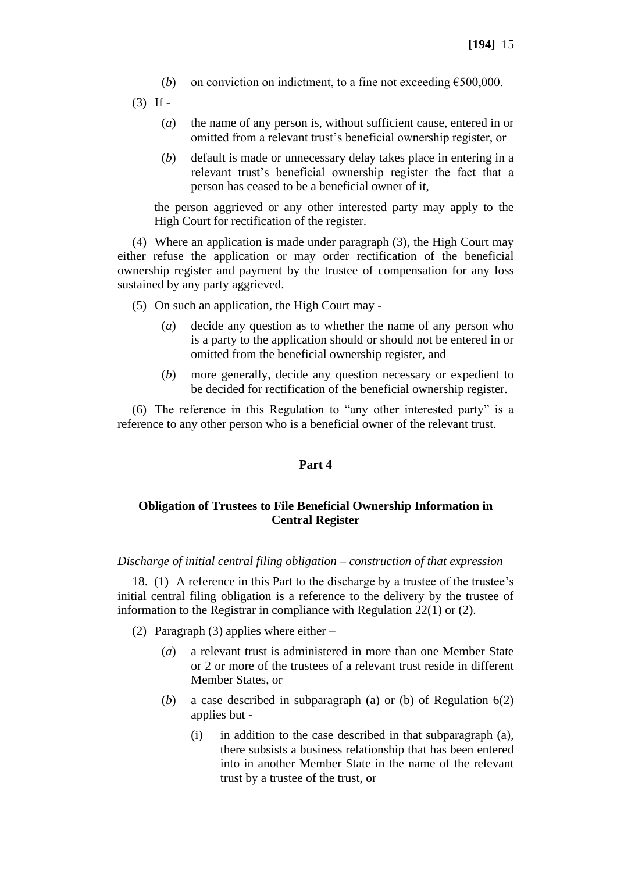- (*b*) on conviction on indictment, to a fine not exceeding  $\epsilon$ 500,000.
- $(3)$  If -
	- (*a*) the name of any person is, without sufficient cause, entered in or omitted from a relevant trust's beneficial ownership register, or
	- (*b*) default is made or unnecessary delay takes place in entering in a relevant trust's beneficial ownership register the fact that a person has ceased to be a beneficial owner of it,

the person aggrieved or any other interested party may apply to the High Court for rectification of the register.

(4) Where an application is made under paragraph (3), the High Court may either refuse the application or may order rectification of the beneficial ownership register and payment by the trustee of compensation for any loss sustained by any party aggrieved.

- (5) On such an application, the High Court may
	- (*a*) decide any question as to whether the name of any person who is a party to the application should or should not be entered in or omitted from the beneficial ownership register, and
	- (*b*) more generally, decide any question necessary or expedient to be decided for rectification of the beneficial ownership register.

(6) The reference in this Regulation to "any other interested party" is a reference to any other person who is a beneficial owner of the relevant trust.

#### **Part 4**

## **Obligation of Trustees to File Beneficial Ownership Information in Central Register**

*Discharge of initial central filing obligation – construction of that expression*

18. (1) A reference in this Part to the discharge by a trustee of the trustee's initial central filing obligation is a reference to the delivery by the trustee of information to the Registrar in compliance with Regulation 22(1) or (2).

- (2) Paragraph (3) applies where either
	- (*a*) a relevant trust is administered in more than one Member State or 2 or more of the trustees of a relevant trust reside in different Member States, or
	- (*b*) a case described in subparagraph (a) or (b) of Regulation 6(2) applies but -
		- (i) in addition to the case described in that subparagraph (a), there subsists a business relationship that has been entered into in another Member State in the name of the relevant trust by a trustee of the trust, or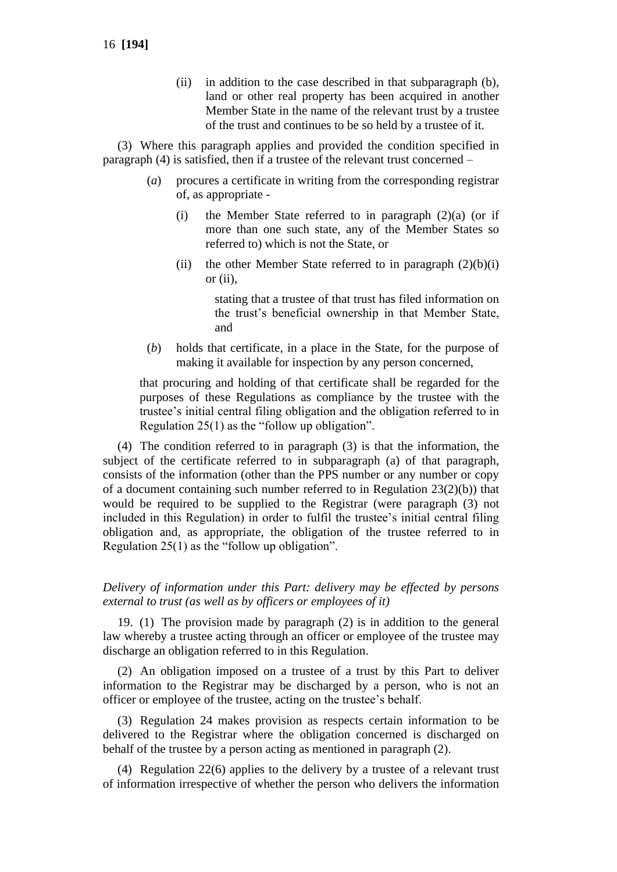(ii) in addition to the case described in that subparagraph (b), land or other real property has been acquired in another Member State in the name of the relevant trust by a trustee of the trust and continues to be so held by a trustee of it.

(3) Where this paragraph applies and provided the condition specified in paragraph (4) is satisfied, then if a trustee of the relevant trust concerned –

- (*a*) procures a certificate in writing from the corresponding registrar of, as appropriate -
	- (i) the Member State referred to in paragraph  $(2)(a)$  (or if more than one such state, any of the Member States so referred to) which is not the State, or
	- (ii) the other Member State referred to in paragraph  $(2)(b)(i)$ or (ii),

stating that a trustee of that trust has filed information on the trust's beneficial ownership in that Member State, and

(*b*) holds that certificate, in a place in the State, for the purpose of making it available for inspection by any person concerned,

that procuring and holding of that certificate shall be regarded for the purposes of these Regulations as compliance by the trustee with the trustee's initial central filing obligation and the obligation referred to in Regulation 25(1) as the "follow up obligation".

(4) The condition referred to in paragraph (3) is that the information, the subject of the certificate referred to in subparagraph (a) of that paragraph, consists of the information (other than the PPS number or any number or copy of a document containing such number referred to in Regulation 23(2)(b)) that would be required to be supplied to the Registrar (were paragraph (3) not included in this Regulation) in order to fulfil the trustee's initial central filing obligation and, as appropriate, the obligation of the trustee referred to in Regulation 25(1) as the "follow up obligation".

### *Delivery of information under this Part: delivery may be effected by persons external to trust (as well as by officers or employees of it)*

19. (1) The provision made by paragraph (2) is in addition to the general law whereby a trustee acting through an officer or employee of the trustee may discharge an obligation referred to in this Regulation.

(2) An obligation imposed on a trustee of a trust by this Part to deliver information to the Registrar may be discharged by a person, who is not an officer or employee of the trustee, acting on the trustee's behalf.

(3) Regulation 24 makes provision as respects certain information to be delivered to the Registrar where the obligation concerned is discharged on behalf of the trustee by a person acting as mentioned in paragraph (2).

(4) Regulation 22(6) applies to the delivery by a trustee of a relevant trust of information irrespective of whether the person who delivers the information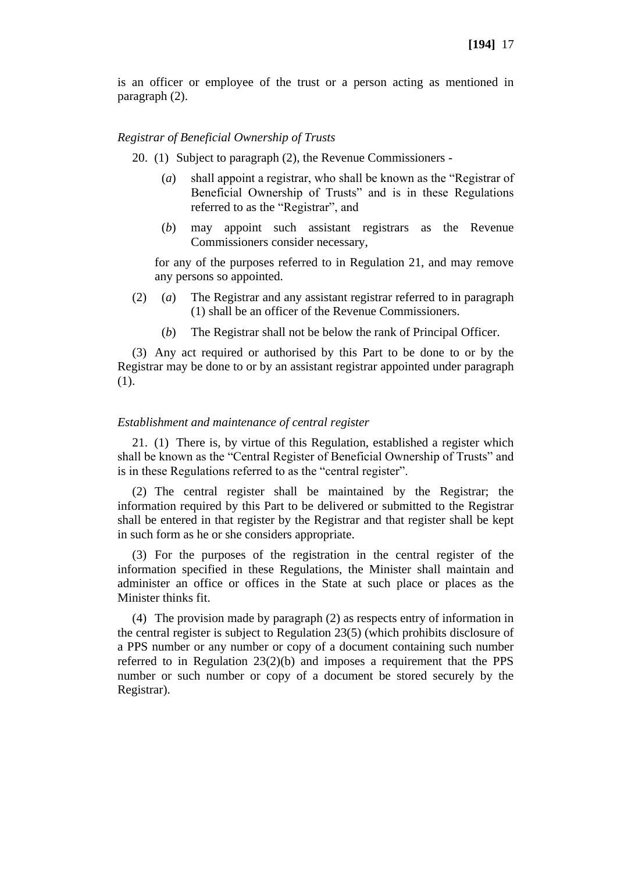is an officer or employee of the trust or a person acting as mentioned in paragraph (2).

#### *Registrar of Beneficial Ownership of Trusts*

20. (1) Subject to paragraph (2), the Revenue Commissioners -

- (*a*) shall appoint a registrar, who shall be known as the "Registrar of Beneficial Ownership of Trusts" and is in these Regulations referred to as the "Registrar", and
- (*b*) may appoint such assistant registrars as the Revenue Commissioners consider necessary,

for any of the purposes referred to in Regulation 21, and may remove any persons so appointed.

- (2) (*a*) The Registrar and any assistant registrar referred to in paragraph (1) shall be an officer of the Revenue Commissioners.
	- (*b*) The Registrar shall not be below the rank of Principal Officer.

(3) Any act required or authorised by this Part to be done to or by the Registrar may be done to or by an assistant registrar appointed under paragraph (1).

#### *Establishment and maintenance of central register*

21. (1) There is, by virtue of this Regulation, established a register which shall be known as the "Central Register of Beneficial Ownership of Trusts" and is in these Regulations referred to as the "central register".

(2) The central register shall be maintained by the Registrar; the information required by this Part to be delivered or submitted to the Registrar shall be entered in that register by the Registrar and that register shall be kept in such form as he or she considers appropriate.

(3) For the purposes of the registration in the central register of the information specified in these Regulations, the Minister shall maintain and administer an office or offices in the State at such place or places as the Minister thinks fit.

(4) The provision made by paragraph (2) as respects entry of information in the central register is subject to Regulation 23(5) (which prohibits disclosure of a PPS number or any number or copy of a document containing such number referred to in Regulation 23(2)(b) and imposes a requirement that the PPS number or such number or copy of a document be stored securely by the Registrar).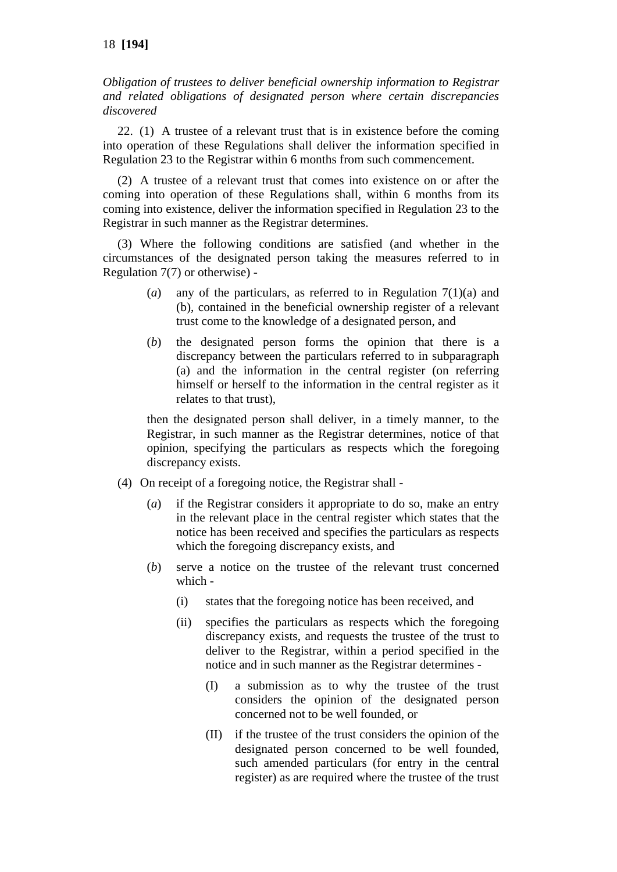*Obligation of trustees to deliver beneficial ownership information to Registrar and related obligations of designated person where certain discrepancies discovered*

22. (1) A trustee of a relevant trust that is in existence before the coming into operation of these Regulations shall deliver the information specified in Regulation 23 to the Registrar within 6 months from such commencement.

(2) A trustee of a relevant trust that comes into existence on or after the coming into operation of these Regulations shall, within 6 months from its coming into existence, deliver the information specified in Regulation 23 to the Registrar in such manner as the Registrar determines.

(3) Where the following conditions are satisfied (and whether in the circumstances of the designated person taking the measures referred to in Regulation 7(7) or otherwise) -

- (*a*) any of the particulars, as referred to in Regulation 7(1)(a) and (b), contained in the beneficial ownership register of a relevant trust come to the knowledge of a designated person, and
- (*b*) the designated person forms the opinion that there is a discrepancy between the particulars referred to in subparagraph (a) and the information in the central register (on referring himself or herself to the information in the central register as it relates to that trust),

then the designated person shall deliver, in a timely manner, to the Registrar, in such manner as the Registrar determines, notice of that opinion, specifying the particulars as respects which the foregoing discrepancy exists.

- (4) On receipt of a foregoing notice, the Registrar shall
	- (*a*) if the Registrar considers it appropriate to do so, make an entry in the relevant place in the central register which states that the notice has been received and specifies the particulars as respects which the foregoing discrepancy exists, and
	- (*b*) serve a notice on the trustee of the relevant trust concerned which -
		- (i) states that the foregoing notice has been received, and
		- (ii) specifies the particulars as respects which the foregoing discrepancy exists, and requests the trustee of the trust to deliver to the Registrar, within a period specified in the notice and in such manner as the Registrar determines -
			- (I) a submission as to why the trustee of the trust considers the opinion of the designated person concerned not to be well founded, or
			- (II) if the trustee of the trust considers the opinion of the designated person concerned to be well founded, such amended particulars (for entry in the central register) as are required where the trustee of the trust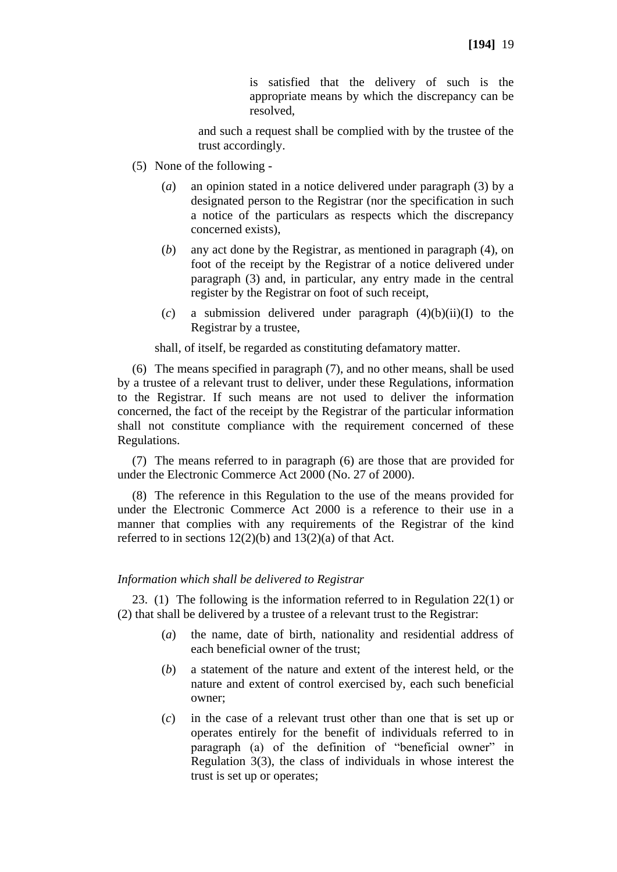is satisfied that the delivery of such is the appropriate means by which the discrepancy can be resolved,

and such a request shall be complied with by the trustee of the trust accordingly.

- (5) None of the following
	- (*a*) an opinion stated in a notice delivered under paragraph (3) by a designated person to the Registrar (nor the specification in such a notice of the particulars as respects which the discrepancy concerned exists),
	- (*b*) any act done by the Registrar, as mentioned in paragraph (4), on foot of the receipt by the Registrar of a notice delivered under paragraph (3) and, in particular, any entry made in the central register by the Registrar on foot of such receipt,
	- (*c*) a submission delivered under paragraph (4)(b)(ii)(I) to the Registrar by a trustee,

shall, of itself, be regarded as constituting defamatory matter.

(6) The means specified in paragraph (7), and no other means, shall be used by a trustee of a relevant trust to deliver, under these Regulations, information to the Registrar. If such means are not used to deliver the information concerned, the fact of the receipt by the Registrar of the particular information shall not constitute compliance with the requirement concerned of these Regulations.

(7) The means referred to in paragraph (6) are those that are provided for under the Electronic Commerce Act 2000 (No. 27 of 2000).

(8) The reference in this Regulation to the use of the means provided for under the Electronic Commerce Act 2000 is a reference to their use in a manner that complies with any requirements of the Registrar of the kind referred to in sections  $12(2)(b)$  and  $13(2)(a)$  of that Act.

### *Information which shall be delivered to Registrar*

23. (1) The following is the information referred to in Regulation 22(1) or (2) that shall be delivered by a trustee of a relevant trust to the Registrar:

- (*a*) the name, date of birth, nationality and residential address of each beneficial owner of the trust;
- (*b*) a statement of the nature and extent of the interest held, or the nature and extent of control exercised by, each such beneficial owner;
- (*c*) in the case of a relevant trust other than one that is set up or operates entirely for the benefit of individuals referred to in paragraph (a) of the definition of "beneficial owner" in Regulation 3(3), the class of individuals in whose interest the trust is set up or operates;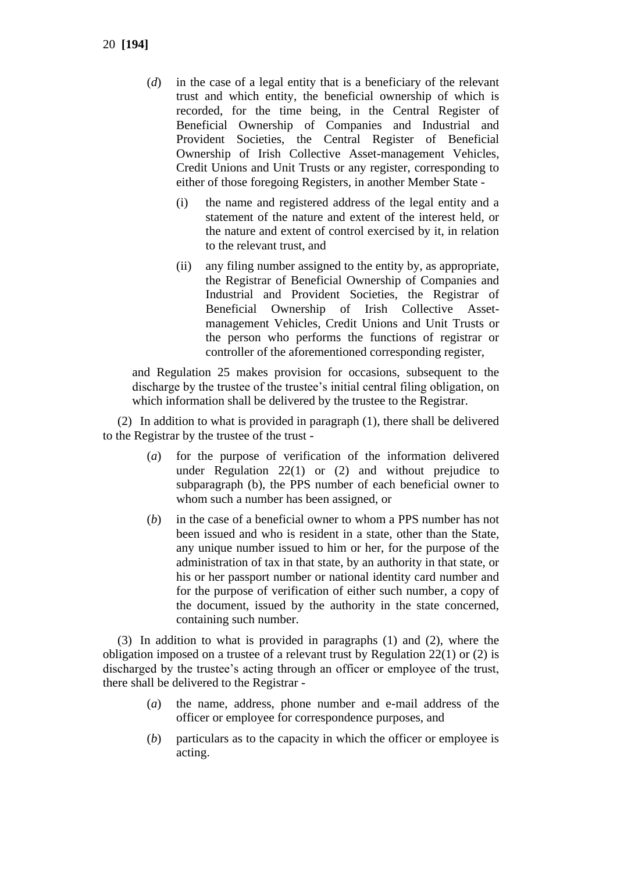- 20 **[194]**
	- (*d*) in the case of a legal entity that is a beneficiary of the relevant trust and which entity, the beneficial ownership of which is recorded, for the time being, in the Central Register of Beneficial Ownership of Companies and Industrial and Provident Societies, the Central Register of Beneficial Ownership of Irish Collective Asset-management Vehicles, Credit Unions and Unit Trusts or any register, corresponding to either of those foregoing Registers, in another Member State -
		- (i) the name and registered address of the legal entity and a statement of the nature and extent of the interest held, or the nature and extent of control exercised by it, in relation to the relevant trust, and
		- (ii) any filing number assigned to the entity by, as appropriate, the Registrar of Beneficial Ownership of Companies and Industrial and Provident Societies, the Registrar of Beneficial Ownership of Irish Collective Assetmanagement Vehicles, Credit Unions and Unit Trusts or the person who performs the functions of registrar or controller of the aforementioned corresponding register,

and Regulation 25 makes provision for occasions, subsequent to the discharge by the trustee of the trustee's initial central filing obligation, on which information shall be delivered by the trustee to the Registrar.

(2) In addition to what is provided in paragraph (1), there shall be delivered to the Registrar by the trustee of the trust -

- (*a*) for the purpose of verification of the information delivered under Regulation 22(1) or (2) and without prejudice to subparagraph (b), the PPS number of each beneficial owner to whom such a number has been assigned, or
- (*b*) in the case of a beneficial owner to whom a PPS number has not been issued and who is resident in a state, other than the State, any unique number issued to him or her, for the purpose of the administration of tax in that state, by an authority in that state, or his or her passport number or national identity card number and for the purpose of verification of either such number, a copy of the document, issued by the authority in the state concerned, containing such number.

(3) In addition to what is provided in paragraphs (1) and (2), where the obligation imposed on a trustee of a relevant trust by Regulation 22(1) or (2) is discharged by the trustee's acting through an officer or employee of the trust, there shall be delivered to the Registrar -

- (*a*) the name, address, phone number and e-mail address of the officer or employee for correspondence purposes, and
- (*b*) particulars as to the capacity in which the officer or employee is acting.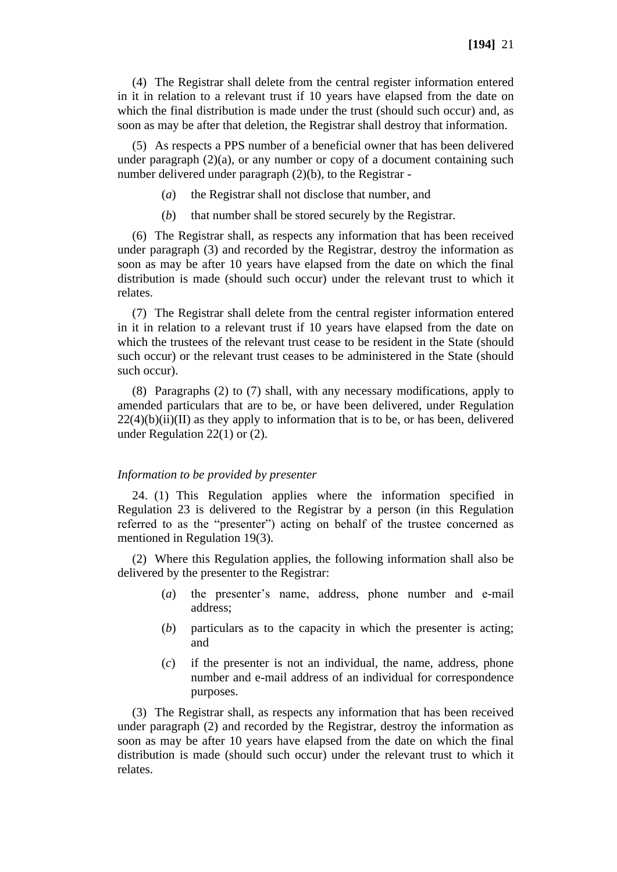(4) The Registrar shall delete from the central register information entered in it in relation to a relevant trust if 10 years have elapsed from the date on which the final distribution is made under the trust (should such occur) and, as soon as may be after that deletion, the Registrar shall destroy that information.

(5) As respects a PPS number of a beneficial owner that has been delivered under paragraph  $(2)(a)$ , or any number or copy of a document containing such number delivered under paragraph (2)(b), to the Registrar -

- (*a*) the Registrar shall not disclose that number, and
- (*b*) that number shall be stored securely by the Registrar.

(6) The Registrar shall, as respects any information that has been received under paragraph (3) and recorded by the Registrar, destroy the information as soon as may be after 10 years have elapsed from the date on which the final distribution is made (should such occur) under the relevant trust to which it relates.

(7) The Registrar shall delete from the central register information entered in it in relation to a relevant trust if 10 years have elapsed from the date on which the trustees of the relevant trust cease to be resident in the State (should such occur) or the relevant trust ceases to be administered in the State (should such occur).

(8) Paragraphs (2) to (7) shall, with any necessary modifications, apply to amended particulars that are to be, or have been delivered, under Regulation  $22(4)(b)(ii)(II)$  as they apply to information that is to be, or has been, delivered under Regulation 22(1) or (2).

#### *Information to be provided by presenter*

24. (1) This Regulation applies where the information specified in Regulation 23 is delivered to the Registrar by a person (in this Regulation referred to as the "presenter") acting on behalf of the trustee concerned as mentioned in Regulation 19(3).

(2) Where this Regulation applies, the following information shall also be delivered by the presenter to the Registrar:

- (*a*) the presenter's name, address, phone number and e-mail address;
- (*b*) particulars as to the capacity in which the presenter is acting; and
- (*c*) if the presenter is not an individual, the name, address, phone number and e-mail address of an individual for correspondence purposes.

(3) The Registrar shall, as respects any information that has been received under paragraph (2) and recorded by the Registrar, destroy the information as soon as may be after 10 years have elapsed from the date on which the final distribution is made (should such occur) under the relevant trust to which it relates.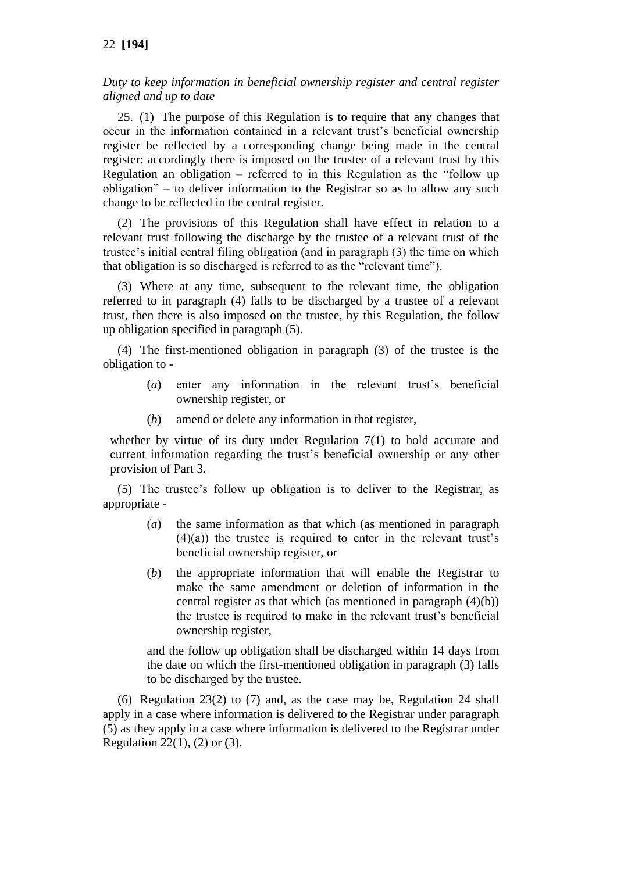## 22 **[194]**

*Duty to keep information in beneficial ownership register and central register aligned and up to date*

25. (1) The purpose of this Regulation is to require that any changes that occur in the information contained in a relevant trust's beneficial ownership register be reflected by a corresponding change being made in the central register; accordingly there is imposed on the trustee of a relevant trust by this Regulation an obligation – referred to in this Regulation as the "follow up obligation" – to deliver information to the Registrar so as to allow any such change to be reflected in the central register.

(2) The provisions of this Regulation shall have effect in relation to a relevant trust following the discharge by the trustee of a relevant trust of the trustee's initial central filing obligation (and in paragraph (3) the time on which that obligation is so discharged is referred to as the "relevant time").

(3) Where at any time, subsequent to the relevant time, the obligation referred to in paragraph (4) falls to be discharged by a trustee of a relevant trust, then there is also imposed on the trustee, by this Regulation, the follow up obligation specified in paragraph (5).

(4) The first-mentioned obligation in paragraph (3) of the trustee is the obligation to -

- (*a*) enter any information in the relevant trust's beneficial ownership register, or
- (*b*) amend or delete any information in that register,

whether by virtue of its duty under Regulation 7(1) to hold accurate and current information regarding the trust's beneficial ownership or any other provision of Part 3.

(5) The trustee's follow up obligation is to deliver to the Registrar, as appropriate -

- (*a*) the same information as that which (as mentioned in paragraph  $(4)(a)$  the trustee is required to enter in the relevant trust's beneficial ownership register, or
- (*b*) the appropriate information that will enable the Registrar to make the same amendment or deletion of information in the central register as that which (as mentioned in paragraph  $(4)(b)$ ) the trustee is required to make in the relevant trust's beneficial ownership register,

and the follow up obligation shall be discharged within 14 days from the date on which the first-mentioned obligation in paragraph (3) falls to be discharged by the trustee.

(6) Regulation 23(2) to (7) and, as the case may be, Regulation 24 shall apply in a case where information is delivered to the Registrar under paragraph (5) as they apply in a case where information is delivered to the Registrar under Regulation 22(1), (2) or (3).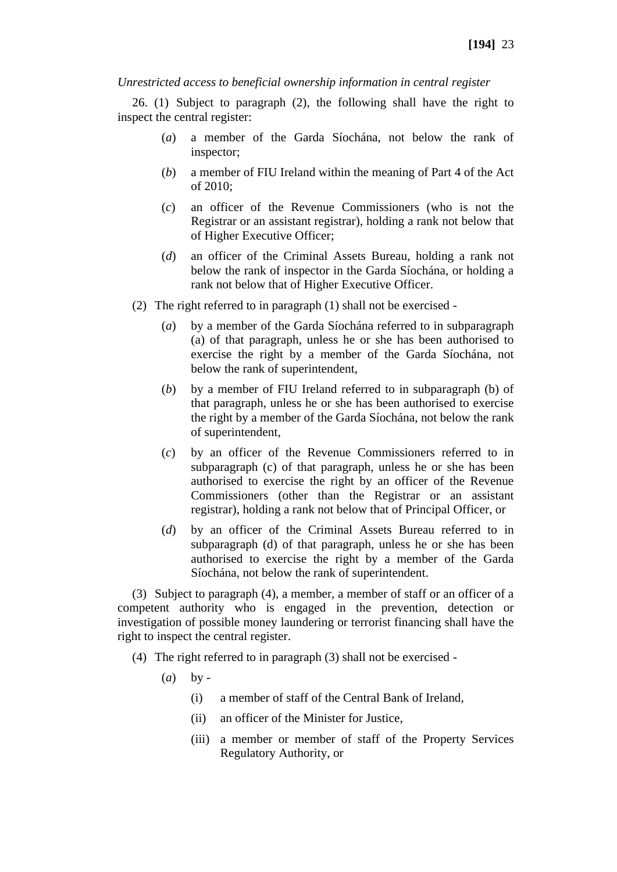### *Unrestricted access to beneficial ownership information in central register*

26. (1) Subject to paragraph (2), the following shall have the right to inspect the central register:

- (*a*) a member of the Garda Síochána, not below the rank of inspector;
- (*b*) a member of FIU Ireland within the meaning of Part 4 of the Act of 2010;
- (*c*) an officer of the Revenue Commissioners (who is not the Registrar or an assistant registrar), holding a rank not below that of Higher Executive Officer;
- (*d*) an officer of the Criminal Assets Bureau, holding a rank not below the rank of inspector in the Garda Síochána, or holding a rank not below that of Higher Executive Officer.
- (2) The right referred to in paragraph (1) shall not be exercised
	- (*a*) by a member of the Garda Síochána referred to in subparagraph (a) of that paragraph, unless he or she has been authorised to exercise the right by a member of the Garda Síochána, not below the rank of superintendent,
	- (*b*) by a member of FIU Ireland referred to in subparagraph (b) of that paragraph, unless he or she has been authorised to exercise the right by a member of the Garda Síochána, not below the rank of superintendent,
	- (*c*) by an officer of the Revenue Commissioners referred to in subparagraph (c) of that paragraph, unless he or she has been authorised to exercise the right by an officer of the Revenue Commissioners (other than the Registrar or an assistant registrar), holding a rank not below that of Principal Officer, or
	- (*d*) by an officer of the Criminal Assets Bureau referred to in subparagraph (d) of that paragraph, unless he or she has been authorised to exercise the right by a member of the Garda Síochána, not below the rank of superintendent.

(3) Subject to paragraph (4), a member, a member of staff or an officer of a competent authority who is engaged in the prevention, detection or investigation of possible money laundering or terrorist financing shall have the right to inspect the central register.

- (4) The right referred to in paragraph (3) shall not be exercised
	- (*a*) by
		- (i) a member of staff of the Central Bank of Ireland,
		- (ii) an officer of the Minister for Justice,
		- (iii) a member or member of staff of the Property Services Regulatory Authority, or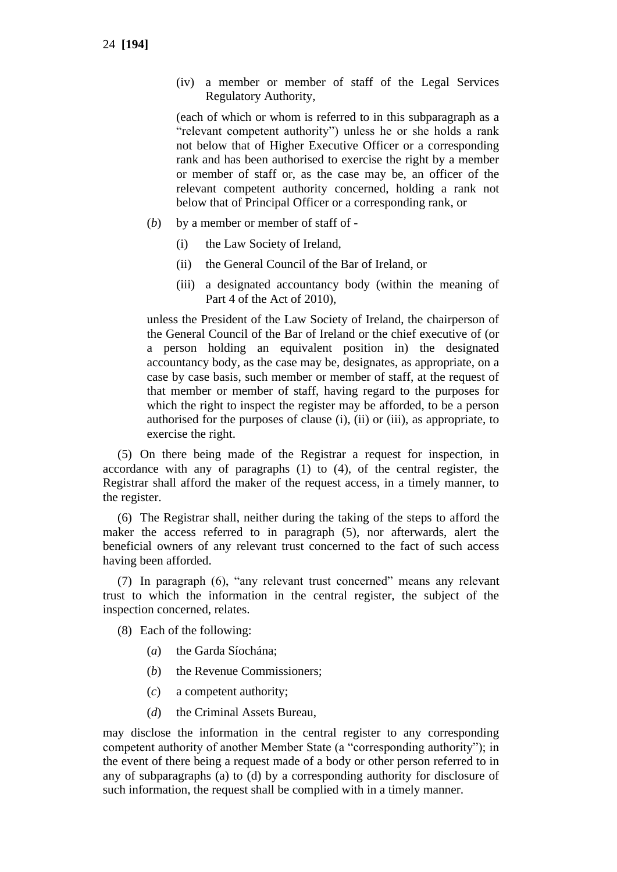(iv) a member or member of staff of the Legal Services Regulatory Authority,

(each of which or whom is referred to in this subparagraph as a "relevant competent authority") unless he or she holds a rank not below that of Higher Executive Officer or a corresponding rank and has been authorised to exercise the right by a member or member of staff or, as the case may be, an officer of the relevant competent authority concerned, holding a rank not below that of Principal Officer or a corresponding rank, or

- (*b*) by a member or member of staff of
	- (i) the Law Society of Ireland,
	- (ii) the General Council of the Bar of Ireland, or
	- (iii) a designated accountancy body (within the meaning of Part 4 of the Act of 2010),

unless the President of the Law Society of Ireland, the chairperson of the General Council of the Bar of Ireland or the chief executive of (or a person holding an equivalent position in) the designated accountancy body, as the case may be, designates, as appropriate, on a case by case basis, such member or member of staff, at the request of that member or member of staff, having regard to the purposes for which the right to inspect the register may be afforded, to be a person authorised for the purposes of clause (i), (ii) or (iii), as appropriate, to exercise the right.

(5) On there being made of the Registrar a request for inspection, in accordance with any of paragraphs (1) to (4), of the central register, the Registrar shall afford the maker of the request access, in a timely manner, to the register.

(6) The Registrar shall, neither during the taking of the steps to afford the maker the access referred to in paragraph (5), nor afterwards, alert the beneficial owners of any relevant trust concerned to the fact of such access having been afforded.

(7) In paragraph (6), "any relevant trust concerned" means any relevant trust to which the information in the central register, the subject of the inspection concerned, relates.

- (8) Each of the following:
	- (*a*) the Garda Síochána;
	- (*b*) the Revenue Commissioners;
	- (*c*) a competent authority;
	- (*d*) the Criminal Assets Bureau,

may disclose the information in the central register to any corresponding competent authority of another Member State (a "corresponding authority"); in the event of there being a request made of a body or other person referred to in any of subparagraphs (a) to (d) by a corresponding authority for disclosure of such information, the request shall be complied with in a timely manner.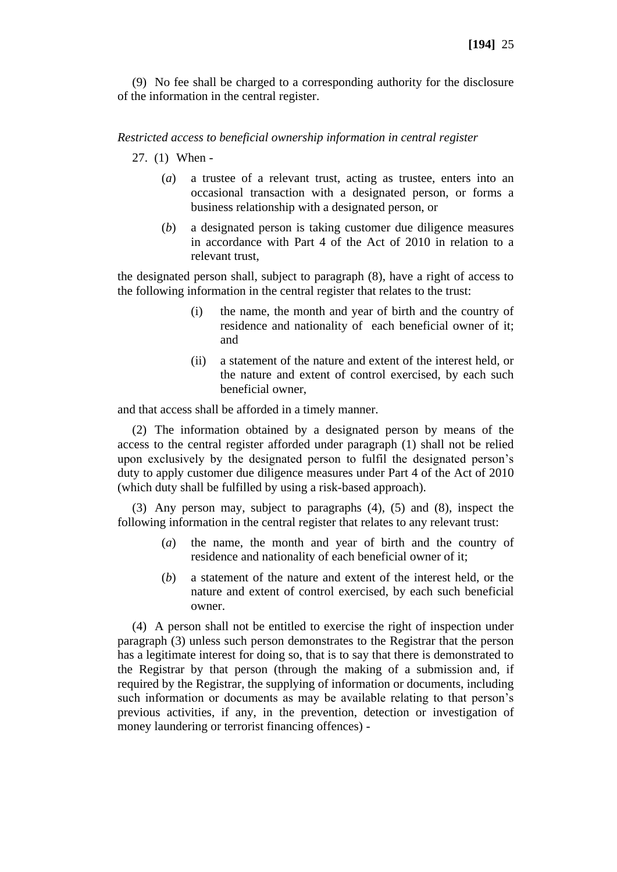(9) No fee shall be charged to a corresponding authority for the disclosure of the information in the central register.

#### *Restricted access to beneficial ownership information in central register*

- 27. (1) When
	- (*a*) a trustee of a relevant trust, acting as trustee, enters into an occasional transaction with a designated person, or forms a business relationship with a designated person, or
	- (*b*) a designated person is taking customer due diligence measures in accordance with Part 4 of the Act of 2010 in relation to a relevant trust,

the designated person shall, subject to paragraph (8), have a right of access to the following information in the central register that relates to the trust:

- (i) the name, the month and year of birth and the country of residence and nationality of each beneficial owner of it; and
- (ii) a statement of the nature and extent of the interest held, or the nature and extent of control exercised, by each such beneficial owner,

and that access shall be afforded in a timely manner.

(2) The information obtained by a designated person by means of the access to the central register afforded under paragraph (1) shall not be relied upon exclusively by the designated person to fulfil the designated person's duty to apply customer due diligence measures under Part 4 of the Act of 2010 (which duty shall be fulfilled by using a risk-based approach).

(3) Any person may, subject to paragraphs (4), (5) and (8), inspect the following information in the central register that relates to any relevant trust:

- (*a*) the name, the month and year of birth and the country of residence and nationality of each beneficial owner of it;
- (*b*) a statement of the nature and extent of the interest held, or the nature and extent of control exercised, by each such beneficial owner.

(4) A person shall not be entitled to exercise the right of inspection under paragraph (3) unless such person demonstrates to the Registrar that the person has a legitimate interest for doing so, that is to say that there is demonstrated to the Registrar by that person (through the making of a submission and, if required by the Registrar, the supplying of information or documents, including such information or documents as may be available relating to that person's previous activities, if any, in the prevention, detection or investigation of money laundering or terrorist financing offences) -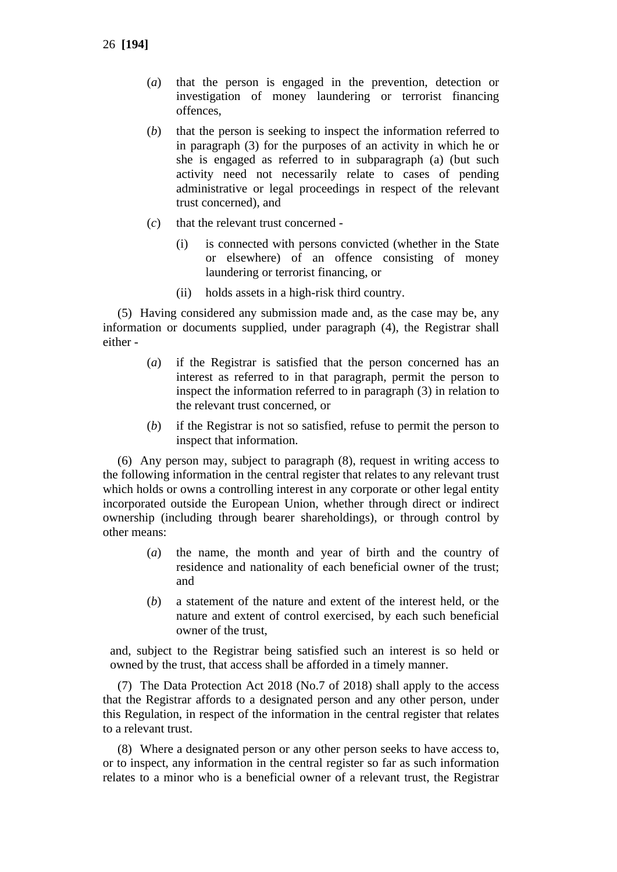- (*a*) that the person is engaged in the prevention, detection or investigation of money laundering or terrorist financing offences,
- (*b*) that the person is seeking to inspect the information referred to in paragraph (3) for the purposes of an activity in which he or she is engaged as referred to in subparagraph (a) (but such activity need not necessarily relate to cases of pending administrative or legal proceedings in respect of the relevant trust concerned), and
- (*c*) that the relevant trust concerned
	- (i) is connected with persons convicted (whether in the State or elsewhere) of an offence consisting of money laundering or terrorist financing, or
	- (ii) holds assets in a high-risk third country.

(5) Having considered any submission made and, as the case may be, any information or documents supplied, under paragraph (4), the Registrar shall either -

- (*a*) if the Registrar is satisfied that the person concerned has an interest as referred to in that paragraph, permit the person to inspect the information referred to in paragraph (3) in relation to the relevant trust concerned, or
- (*b*) if the Registrar is not so satisfied, refuse to permit the person to inspect that information.

(6) Any person may, subject to paragraph (8), request in writing access to the following information in the central register that relates to any relevant trust which holds or owns a controlling interest in any corporate or other legal entity incorporated outside the European Union, whether through direct or indirect ownership (including through bearer shareholdings), or through control by other means:

- (*a*) the name, the month and year of birth and the country of residence and nationality of each beneficial owner of the trust; and
- (*b*) a statement of the nature and extent of the interest held, or the nature and extent of control exercised, by each such beneficial owner of the trust,

and, subject to the Registrar being satisfied such an interest is so held or owned by the trust, that access shall be afforded in a timely manner.

(7) The Data Protection Act 2018 (No.7 of 2018) shall apply to the access that the Registrar affords to a designated person and any other person, under this Regulation, in respect of the information in the central register that relates to a relevant trust.

(8) Where a designated person or any other person seeks to have access to, or to inspect, any information in the central register so far as such information relates to a minor who is a beneficial owner of a relevant trust, the Registrar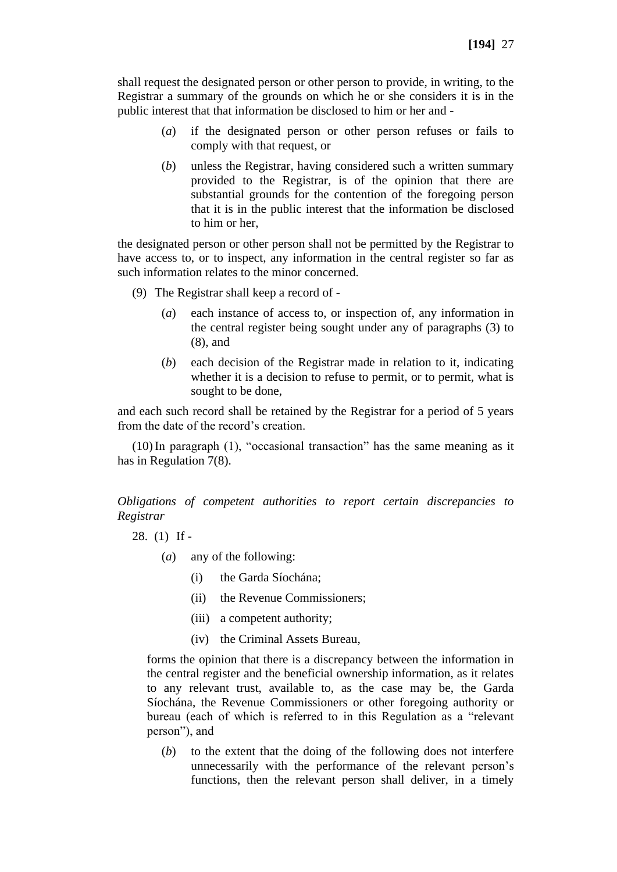shall request the designated person or other person to provide, in writing, to the Registrar a summary of the grounds on which he or she considers it is in the public interest that that information be disclosed to him or her and -

- (*a*) if the designated person or other person refuses or fails to comply with that request, or
- (*b*) unless the Registrar, having considered such a written summary provided to the Registrar, is of the opinion that there are substantial grounds for the contention of the foregoing person that it is in the public interest that the information be disclosed to him or her,

the designated person or other person shall not be permitted by the Registrar to have access to, or to inspect, any information in the central register so far as such information relates to the minor concerned.

- (9) The Registrar shall keep a record of
	- (*a*) each instance of access to, or inspection of, any information in the central register being sought under any of paragraphs (3) to (8), and
	- (*b*) each decision of the Registrar made in relation to it, indicating whether it is a decision to refuse to permit, or to permit, what is sought to be done,

and each such record shall be retained by the Registrar for a period of 5 years from the date of the record's creation.

(10)In paragraph (1), "occasional transaction" has the same meaning as it has in Regulation 7(8).

*Obligations of competent authorities to report certain discrepancies to Registrar*

28. (1) If -

- (*a*) any of the following:
	- (i) the Garda Síochána;
	- (ii) the Revenue Commissioners;
	- (iii) a competent authority;
	- (iv) the Criminal Assets Bureau,

forms the opinion that there is a discrepancy between the information in the central register and the beneficial ownership information, as it relates to any relevant trust, available to, as the case may be, the Garda Síochána, the Revenue Commissioners or other foregoing authority or bureau (each of which is referred to in this Regulation as a "relevant person"), and

(*b*) to the extent that the doing of the following does not interfere unnecessarily with the performance of the relevant person's functions, then the relevant person shall deliver, in a timely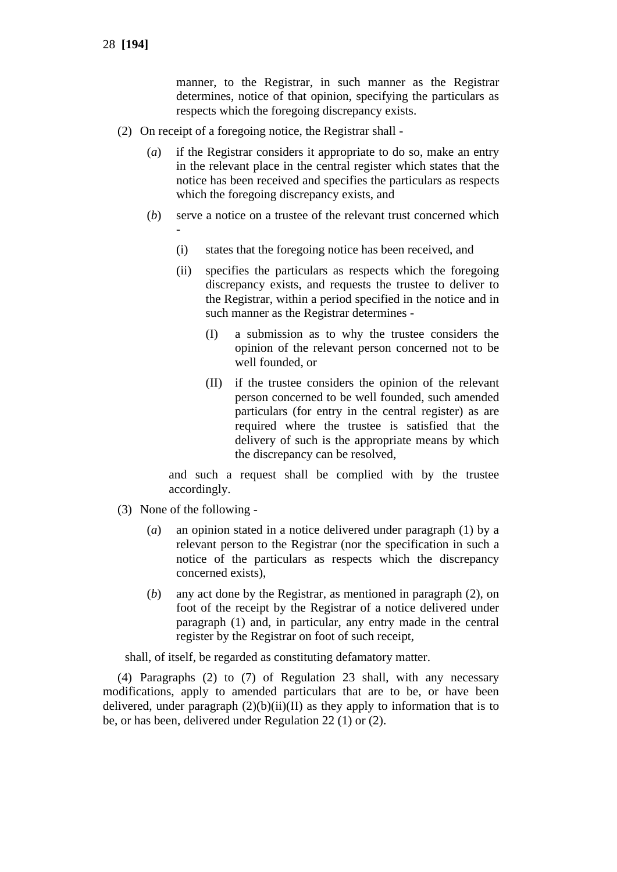manner, to the Registrar, in such manner as the Registrar determines, notice of that opinion, specifying the particulars as respects which the foregoing discrepancy exists.

- (2) On receipt of a foregoing notice, the Registrar shall
	- (*a*) if the Registrar considers it appropriate to do so, make an entry in the relevant place in the central register which states that the notice has been received and specifies the particulars as respects which the foregoing discrepancy exists, and
	- (*b*) serve a notice on a trustee of the relevant trust concerned which -
		- (i) states that the foregoing notice has been received, and
		- (ii) specifies the particulars as respects which the foregoing discrepancy exists, and requests the trustee to deliver to the Registrar, within a period specified in the notice and in such manner as the Registrar determines -
			- (I) a submission as to why the trustee considers the opinion of the relevant person concerned not to be well founded, or
			- (II) if the trustee considers the opinion of the relevant person concerned to be well founded, such amended particulars (for entry in the central register) as are required where the trustee is satisfied that the delivery of such is the appropriate means by which the discrepancy can be resolved,

and such a request shall be complied with by the trustee accordingly.

- (3) None of the following
	- (*a*) an opinion stated in a notice delivered under paragraph (1) by a relevant person to the Registrar (nor the specification in such a notice of the particulars as respects which the discrepancy concerned exists),
	- (*b*) any act done by the Registrar, as mentioned in paragraph (2), on foot of the receipt by the Registrar of a notice delivered under paragraph (1) and, in particular, any entry made in the central register by the Registrar on foot of such receipt,

shall, of itself, be regarded as constituting defamatory matter.

(4) Paragraphs (2) to (7) of Regulation 23 shall, with any necessary modifications, apply to amended particulars that are to be, or have been delivered, under paragraph  $(2)(b)(ii)(II)$  as they apply to information that is to be, or has been, delivered under Regulation 22 (1) or (2).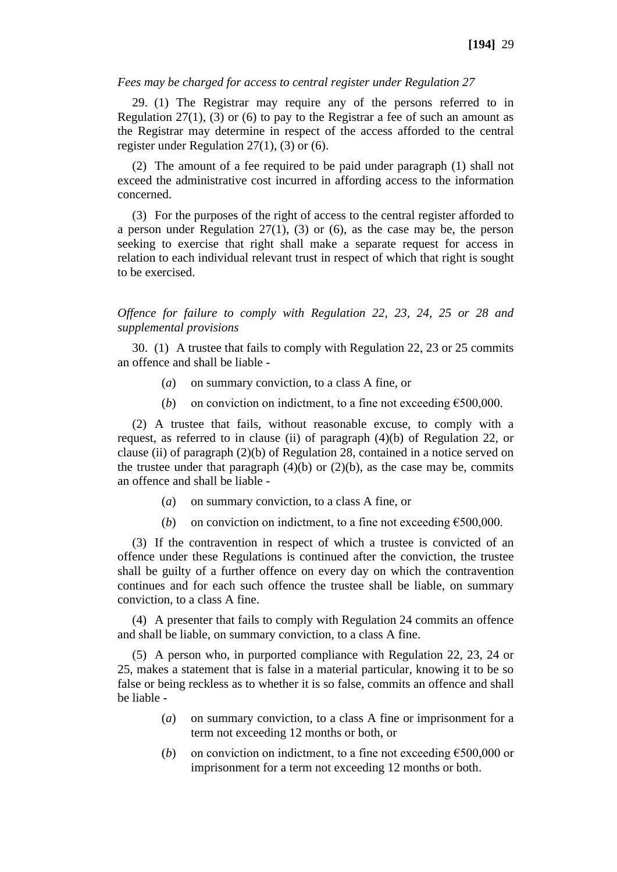### *Fees may be charged for access to central register under Regulation 27*

29. (1) The Registrar may require any of the persons referred to in Regulation  $27(1)$ , (3) or (6) to pay to the Registrar a fee of such an amount as the Registrar may determine in respect of the access afforded to the central register under Regulation 27(1), (3) or (6).

(2) The amount of a fee required to be paid under paragraph (1) shall not exceed the administrative cost incurred in affording access to the information concerned.

(3) For the purposes of the right of access to the central register afforded to a person under Regulation 27(1), (3) or (6), as the case may be, the person seeking to exercise that right shall make a separate request for access in relation to each individual relevant trust in respect of which that right is sought to be exercised.

*Offence for failure to comply with Regulation 22, 23, 24, 25 or 28 and supplemental provisions*

30. (1) A trustee that fails to comply with Regulation 22, 23 or 25 commits an offence and shall be liable -

- (*a*) on summary conviction, to a class A fine, or
- (*b*) on conviction on indictment, to a fine not exceeding  $\epsilon$ 500,000.

(2) A trustee that fails, without reasonable excuse, to comply with a request, as referred to in clause (ii) of paragraph (4)(b) of Regulation 22, or clause (ii) of paragraph (2)(b) of Regulation 28, contained in a notice served on the trustee under that paragraph  $(4)(b)$  or  $(2)(b)$ , as the case may be, commits an offence and shall be liable -

- (*a*) on summary conviction, to a class A fine, or
- (*b*) on conviction on indictment, to a fine not exceeding  $\epsilon$ 500,000.

(3) If the contravention in respect of which a trustee is convicted of an offence under these Regulations is continued after the conviction, the trustee shall be guilty of a further offence on every day on which the contravention continues and for each such offence the trustee shall be liable, on summary conviction, to a class A fine.

(4) A presenter that fails to comply with Regulation 24 commits an offence and shall be liable, on summary conviction, to a class A fine.

(5) A person who, in purported compliance with Regulation 22, 23, 24 or 25, makes a statement that is false in a material particular, knowing it to be so false or being reckless as to whether it is so false, commits an offence and shall be liable -

- (*a*) on summary conviction, to a class A fine or imprisonment for a term not exceeding 12 months or both, or
- (*b*) on conviction on indictment, to a fine not exceeding  $\epsilon$ 500,000 or imprisonment for a term not exceeding 12 months or both.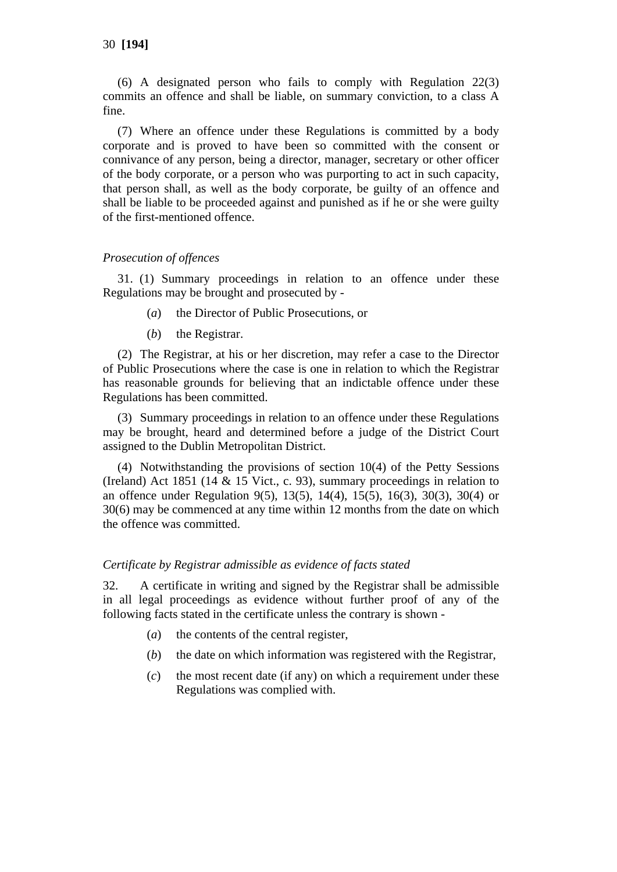(6) A designated person who fails to comply with Regulation 22(3) commits an offence and shall be liable, on summary conviction, to a class A fine.

(7) Where an offence under these Regulations is committed by a body corporate and is proved to have been so committed with the consent or connivance of any person, being a director, manager, secretary or other officer of the body corporate, or a person who was purporting to act in such capacity, that person shall, as well as the body corporate, be guilty of an offence and shall be liable to be proceeded against and punished as if he or she were guilty of the first-mentioned offence.

## *Prosecution of offences*

31. (1) Summary proceedings in relation to an offence under these Regulations may be brought and prosecuted by -

- (*a*) the Director of Public Prosecutions, or
- (*b*) the Registrar.

(2) The Registrar, at his or her discretion, may refer a case to the Director of Public Prosecutions where the case is one in relation to which the Registrar has reasonable grounds for believing that an indictable offence under these Regulations has been committed.

(3) Summary proceedings in relation to an offence under these Regulations may be brought, heard and determined before a judge of the District Court assigned to the Dublin Metropolitan District.

(4) Notwithstanding the provisions of section 10(4) of the Petty Sessions (Ireland) Act 1851 (14  $&$  15 Vict., c. 93), summary proceedings in relation to an offence under Regulation 9(5), 13(5), 14(4), 15(5), 16(3), 30(3), 30(4) or 30(6) may be commenced at any time within 12 months from the date on which the offence was committed.

### *Certificate by Registrar admissible as evidence of facts stated*

32. A certificate in writing and signed by the Registrar shall be admissible in all legal proceedings as evidence without further proof of any of the following facts stated in the certificate unless the contrary is shown -

- (*a*) the contents of the central register,
- (*b*) the date on which information was registered with the Registrar,
- (*c*) the most recent date (if any) on which a requirement under these Regulations was complied with.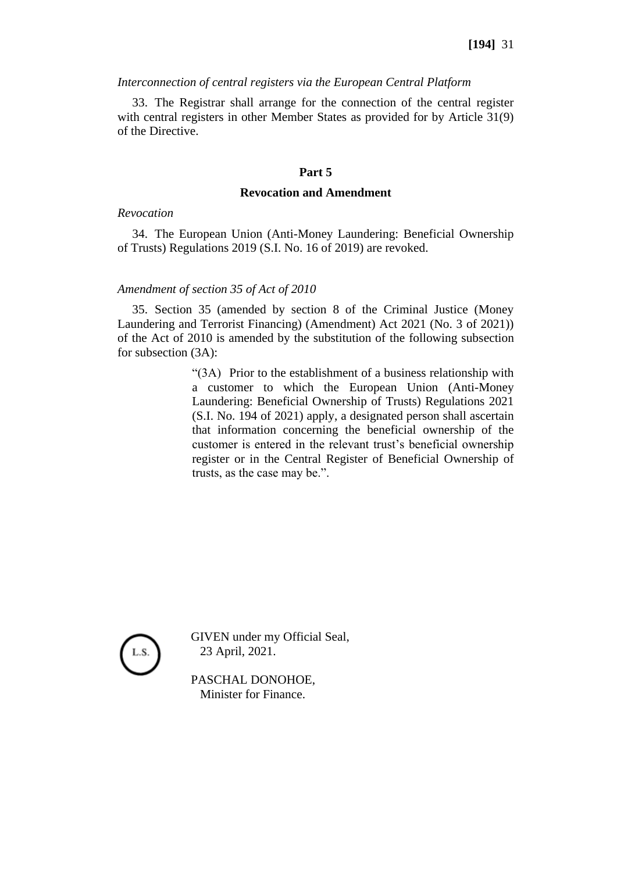#### *Interconnection of central registers via the European Central Platform*

33. The Registrar shall arrange for the connection of the central register with central registers in other Member States as provided for by Article 31(9) of the Directive.

#### **Part 5**

#### **Revocation and Amendment**

#### *Revocation*

34. The European Union (Anti-Money Laundering: Beneficial Ownership of Trusts) Regulations 2019 (S.I. No. 16 of 2019) are revoked.

#### *Amendment of section 35 of Act of 2010*

35. Section 35 (amended by section 8 of the Criminal Justice (Money Laundering and Terrorist Financing) (Amendment) Act 2021 (No. 3 of 2021)) of the Act of 2010 is amended by the substitution of the following subsection for subsection (3A):

> "(3A) Prior to the establishment of a business relationship with a customer to which the European Union (Anti-Money Laundering: Beneficial Ownership of Trusts) Regulations 2021 (S.I. No. 194 of 2021) apply, a designated person shall ascertain that information concerning the beneficial ownership of the customer is entered in the relevant trust's beneficial ownership register or in the Central Register of Beneficial Ownership of trusts, as the case may be.".



GIVEN under my Official Seal, 23 April, 2021.

PASCHAL DONOHOE, Minister for Finance.